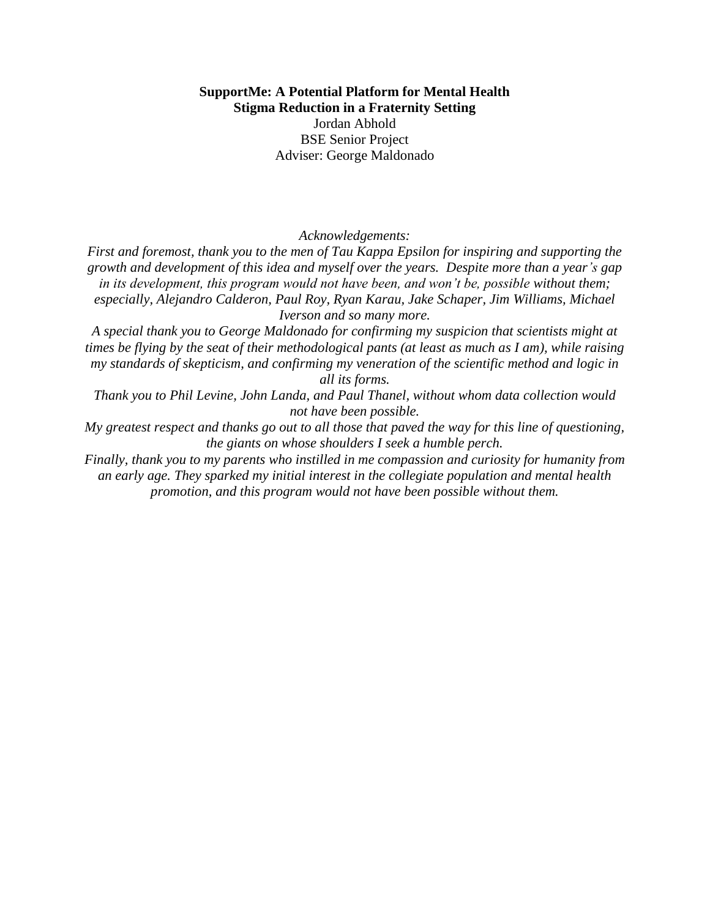## **SupportMe: A Potential Platform for Mental Health Stigma Reduction in a Fraternity Setting** Jordan Abhold BSE Senior Project Adviser: George Maldonado

*Acknowledgements:*

*First and foremost, thank you to the men of Tau Kappa Epsilon for inspiring and supporting the growth and development of this idea and myself over the years. Despite more than a year's gap*  in its development, this program would not have been, and won't be, possible without them; *especially, Alejandro Calderon, Paul Roy, Ryan Karau, Jake Schaper, Jim Williams, Michael Iverson and so many more.*

*A special thank you to George Maldonado for confirming my suspicion that scientists might at times be flying by the seat of their methodological pants (at least as much as I am), while raising my standards of skepticism, and confirming my veneration of the scientific method and logic in all its forms.*

*Thank you to Phil Levine, John Landa, and Paul Thanel, without whom data collection would not have been possible.*

*My greatest respect and thanks go out to all those that paved the way for this line of questioning, the giants on whose shoulders I seek a humble perch.*

*Finally, thank you to my parents who instilled in me compassion and curiosity for humanity from an early age. They sparked my initial interest in the collegiate population and mental health promotion, and this program would not have been possible without them.*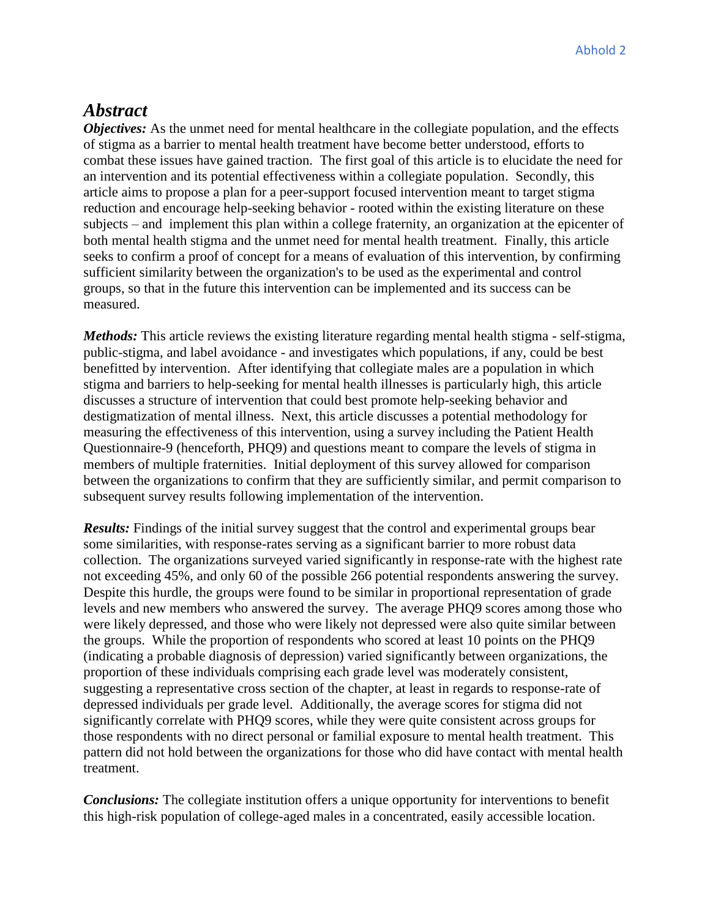# *Abstract*

*Objectives:* As the unmet need for mental healthcare in the collegiate population, and the effects of stigma as a barrier to mental health treatment have become better understood, efforts to combat these issues have gained traction. The first goal of this article is to elucidate the need for an intervention and its potential effectiveness within a collegiate population. Secondly, this article aims to propose a plan for a peer-support focused intervention meant to target stigma reduction and encourage help-seeking behavior - rooted within the existing literature on these subjects – and implement this plan within a college fraternity, an organization at the epicenter of both mental health stigma and the unmet need for mental health treatment. Finally, this article seeks to confirm a proof of concept for a means of evaluation of this intervention, by confirming sufficient similarity between the organization's to be used as the experimental and control groups, so that in the future this intervention can be implemented and its success can be measured.

*Methods:* This article reviews the existing literature regarding mental health stigma - self-stigma, public-stigma, and label avoidance - and investigates which populations, if any, could be best benefitted by intervention. After identifying that collegiate males are a population in which stigma and barriers to help-seeking for mental health illnesses is particularly high, this article discusses a structure of intervention that could best promote help-seeking behavior and destigmatization of mental illness. Next, this article discusses a potential methodology for measuring the effectiveness of this intervention, using a survey including the Patient Health Questionnaire-9 (henceforth, PHQ9) and questions meant to compare the levels of stigma in members of multiple fraternities. Initial deployment of this survey allowed for comparison between the organizations to confirm that they are sufficiently similar, and permit comparison to subsequent survey results following implementation of the intervention.

*Results:* Findings of the initial survey suggest that the control and experimental groups bear some similarities, with response-rates serving as a significant barrier to more robust data collection. The organizations surveyed varied significantly in response-rate with the highest rate not exceeding 45%, and only 60 of the possible 266 potential respondents answering the survey. Despite this hurdle, the groups were found to be similar in proportional representation of grade levels and new members who answered the survey. The average PHQ9 scores among those who were likely depressed, and those who were likely not depressed were also quite similar between the groups. While the proportion of respondents who scored at least 10 points on the PHQ9 (indicating a probable diagnosis of depression) varied significantly between organizations, the proportion of these individuals comprising each grade level was moderately consistent, suggesting a representative cross section of the chapter, at least in regards to response-rate of depressed individuals per grade level. Additionally, the average scores for stigma did not significantly correlate with PHQ9 scores, while they were quite consistent across groups for those respondents with no direct personal or familial exposure to mental health treatment. This pattern did not hold between the organizations for those who did have contact with mental health treatment.

*Conclusions:* The collegiate institution offers a unique opportunity for interventions to benefit this high-risk population of college-aged males in a concentrated, easily accessible location.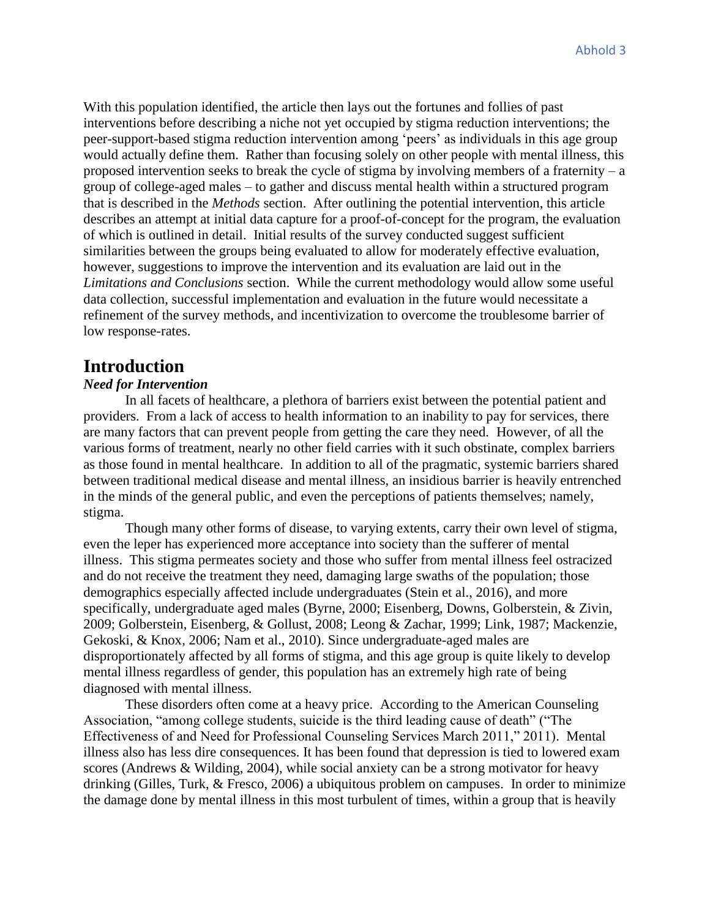With this population identified, the article then lays out the fortunes and follies of past interventions before describing a niche not yet occupied by stigma reduction interventions; the peer-support-based stigma reduction intervention among 'peers' as individuals in this age group would actually define them. Rather than focusing solely on other people with mental illness, this proposed intervention seeks to break the cycle of stigma by involving members of a fraternity – a group of college-aged males – to gather and discuss mental health within a structured program that is described in the *Methods* section. After outlining the potential intervention, this article describes an attempt at initial data capture for a proof-of-concept for the program, the evaluation of which is outlined in detail. Initial results of the survey conducted suggest sufficient similarities between the groups being evaluated to allow for moderately effective evaluation, however, suggestions to improve the intervention and its evaluation are laid out in the *Limitations and Conclusions* section. While the current methodology would allow some useful data collection, successful implementation and evaluation in the future would necessitate a refinement of the survey methods, and incentivization to overcome the troublesome barrier of low response-rates.

# **Introduction**

### *Need for Intervention*

In all facets of healthcare, a plethora of barriers exist between the potential patient and providers. From a lack of access to health information to an inability to pay for services, there are many factors that can prevent people from getting the care they need. However, of all the various forms of treatment, nearly no other field carries with it such obstinate, complex barriers as those found in mental healthcare. In addition to all of the pragmatic, systemic barriers shared between traditional medical disease and mental illness, an insidious barrier is heavily entrenched in the minds of the general public, and even the perceptions of patients themselves; namely, stigma.

Though many other forms of disease, to varying extents, carry their own level of stigma, even the leper has experienced more acceptance into society than the sufferer of mental illness. This stigma permeates society and those who suffer from mental illness feel ostracized and do not receive the treatment they need, damaging large swaths of the population; those demographics especially affected include undergraduates (Stein et al., 2016), and more specifically, undergraduate aged males (Byrne, 2000; Eisenberg, Downs, Golberstein, & Zivin, 2009; Golberstein, Eisenberg, & Gollust, 2008; Leong & Zachar, 1999; Link, 1987; Mackenzie, Gekoski, & Knox, 2006; Nam et al., 2010). Since undergraduate-aged males are disproportionately affected by all forms of stigma, and this age group is quite likely to develop mental illness regardless of gender, this population has an extremely high rate of being diagnosed with mental illness.

These disorders often come at a heavy price. According to the American Counseling Association, "among college students, suicide is the third leading cause of death" ("The Effectiveness of and Need for Professional Counseling Services March 2011," 2011). Mental illness also has less dire consequences. It has been found that depression is tied to lowered exam scores (Andrews & Wilding, 2004), while social anxiety can be a strong motivator for heavy drinking (Gilles, Turk, & Fresco, 2006) a ubiquitous problem on campuses. In order to minimize the damage done by mental illness in this most turbulent of times, within a group that is heavily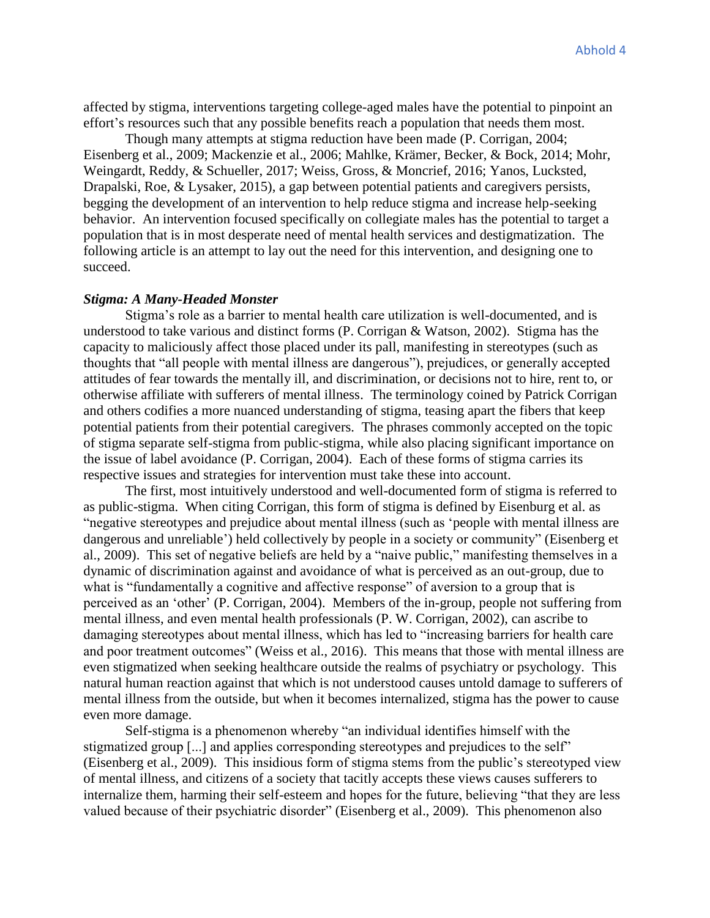affected by stigma, interventions targeting college-aged males have the potential to pinpoint an effort's resources such that any possible benefits reach a population that needs them most.

Though many attempts at stigma reduction have been made (P. Corrigan, 2004; Eisenberg et al., 2009; Mackenzie et al., 2006; Mahlke, Krämer, Becker, & Bock, 2014; Mohr, Weingardt, Reddy, & Schueller, 2017; Weiss, Gross, & Moncrief, 2016; Yanos, Lucksted, Drapalski, Roe, & Lysaker, 2015), a gap between potential patients and caregivers persists, begging the development of an intervention to help reduce stigma and increase help-seeking behavior. An intervention focused specifically on collegiate males has the potential to target a population that is in most desperate need of mental health services and destigmatization. The following article is an attempt to lay out the need for this intervention, and designing one to succeed.

#### *Stigma: A Many-Headed Monster*

Stigma's role as a barrier to mental health care utilization is well-documented, and is understood to take various and distinct forms (P. Corrigan & Watson, 2002). Stigma has the capacity to maliciously affect those placed under its pall, manifesting in stereotypes (such as thoughts that "all people with mental illness are dangerous"), prejudices, or generally accepted attitudes of fear towards the mentally ill, and discrimination, or decisions not to hire, rent to, or otherwise affiliate with sufferers of mental illness. The terminology coined by Patrick Corrigan and others codifies a more nuanced understanding of stigma, teasing apart the fibers that keep potential patients from their potential caregivers. The phrases commonly accepted on the topic of stigma separate self-stigma from public-stigma, while also placing significant importance on the issue of label avoidance (P. Corrigan, 2004). Each of these forms of stigma carries its respective issues and strategies for intervention must take these into account.

The first, most intuitively understood and well-documented form of stigma is referred to as public-stigma. When citing Corrigan, this form of stigma is defined by Eisenburg et al. as "negative stereotypes and prejudice about mental illness (such as 'people with mental illness are dangerous and unreliable') held collectively by people in a society or community" (Eisenberg et al., 2009). This set of negative beliefs are held by a "naive public," manifesting themselves in a dynamic of discrimination against and avoidance of what is perceived as an out-group, due to what is "fundamentally a cognitive and affective response" of aversion to a group that is perceived as an 'other' (P. Corrigan, 2004). Members of the in-group, people not suffering from mental illness, and even mental health professionals (P. W. Corrigan, 2002), can ascribe to damaging stereotypes about mental illness, which has led to "increasing barriers for health care and poor treatment outcomes" (Weiss et al., 2016). This means that those with mental illness are even stigmatized when seeking healthcare outside the realms of psychiatry or psychology. This natural human reaction against that which is not understood causes untold damage to sufferers of mental illness from the outside, but when it becomes internalized, stigma has the power to cause even more damage.

Self-stigma is a phenomenon whereby "an individual identifies himself with the stigmatized group [...] and applies corresponding stereotypes and prejudices to the self" (Eisenberg et al., 2009). This insidious form of stigma stems from the public's stereotyped view of mental illness, and citizens of a society that tacitly accepts these views causes sufferers to internalize them, harming their self-esteem and hopes for the future, believing "that they are less valued because of their psychiatric disorder" (Eisenberg et al., 2009). This phenomenon also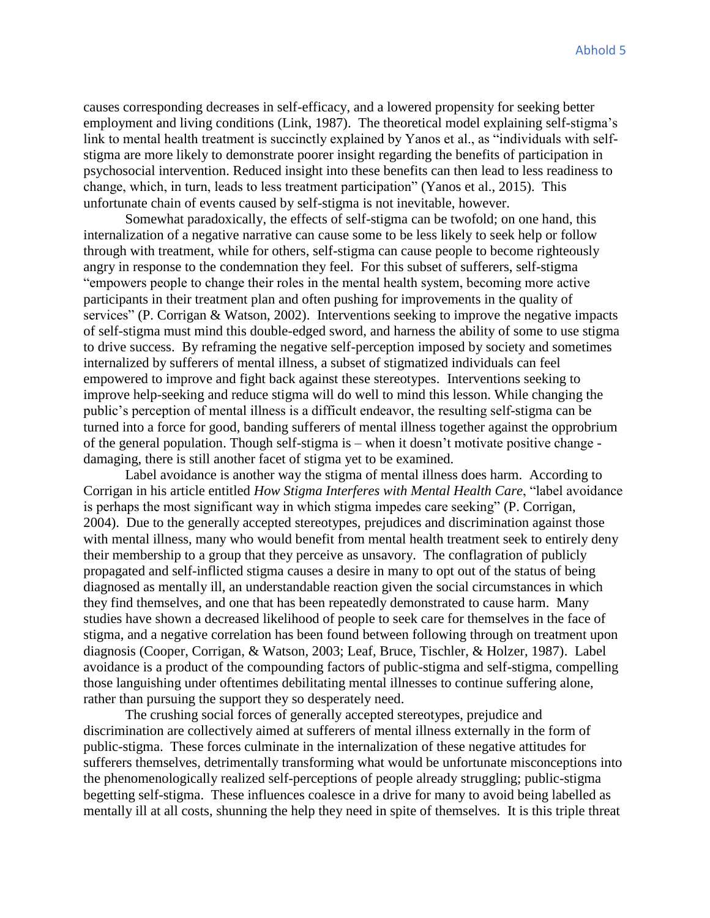causes corresponding decreases in self-efficacy, and a lowered propensity for seeking better employment and living conditions (Link, 1987). The theoretical model explaining self-stigma's link to mental health treatment is succinctly explained by Yanos et al., as "individuals with selfstigma are more likely to demonstrate poorer insight regarding the benefits of participation in psychosocial intervention. Reduced insight into these benefits can then lead to less readiness to change, which, in turn, leads to less treatment participation" (Yanos et al., 2015). This unfortunate chain of events caused by self-stigma is not inevitable, however.

Somewhat paradoxically, the effects of self-stigma can be twofold; on one hand, this internalization of a negative narrative can cause some to be less likely to seek help or follow through with treatment, while for others, self-stigma can cause people to become righteously angry in response to the condemnation they feel. For this subset of sufferers, self-stigma "empowers people to change their roles in the mental health system, becoming more active participants in their treatment plan and often pushing for improvements in the quality of services" (P. Corrigan & Watson, 2002). Interventions seeking to improve the negative impacts of self-stigma must mind this double-edged sword, and harness the ability of some to use stigma to drive success. By reframing the negative self-perception imposed by society and sometimes internalized by sufferers of mental illness, a subset of stigmatized individuals can feel empowered to improve and fight back against these stereotypes. Interventions seeking to improve help-seeking and reduce stigma will do well to mind this lesson. While changing the public's perception of mental illness is a difficult endeavor, the resulting self-stigma can be turned into a force for good, banding sufferers of mental illness together against the opprobrium of the general population. Though self-stigma is – when it doesn't motivate positive change damaging, there is still another facet of stigma yet to be examined.

Label avoidance is another way the stigma of mental illness does harm. According to Corrigan in his article entitled *How Stigma Interferes with Mental Health Care*, "label avoidance is perhaps the most significant way in which stigma impedes care seeking" (P. Corrigan, 2004). Due to the generally accepted stereotypes, prejudices and discrimination against those with mental illness, many who would benefit from mental health treatment seek to entirely deny their membership to a group that they perceive as unsavory. The conflagration of publicly propagated and self-inflicted stigma causes a desire in many to opt out of the status of being diagnosed as mentally ill, an understandable reaction given the social circumstances in which they find themselves, and one that has been repeatedly demonstrated to cause harm. Many studies have shown a decreased likelihood of people to seek care for themselves in the face of stigma, and a negative correlation has been found between following through on treatment upon diagnosis (Cooper, Corrigan, & Watson, 2003; Leaf, Bruce, Tischler, & Holzer, 1987). Label avoidance is a product of the compounding factors of public-stigma and self-stigma, compelling those languishing under oftentimes debilitating mental illnesses to continue suffering alone, rather than pursuing the support they so desperately need.

The crushing social forces of generally accepted stereotypes, prejudice and discrimination are collectively aimed at sufferers of mental illness externally in the form of public-stigma. These forces culminate in the internalization of these negative attitudes for sufferers themselves, detrimentally transforming what would be unfortunate misconceptions into the phenomenologically realized self-perceptions of people already struggling; public-stigma begetting self-stigma. These influences coalesce in a drive for many to avoid being labelled as mentally ill at all costs, shunning the help they need in spite of themselves. It is this triple threat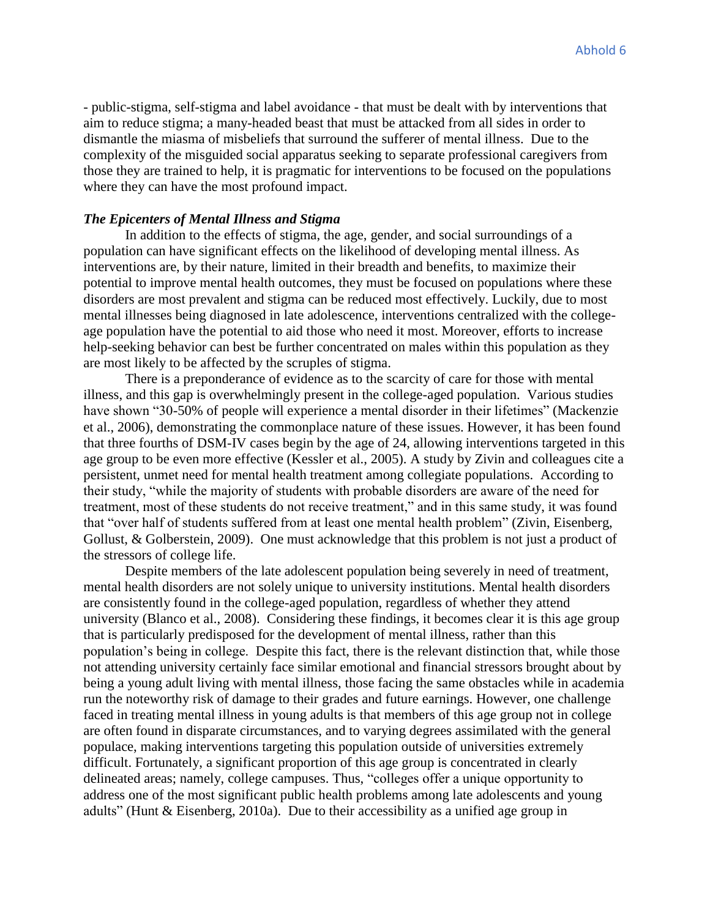- public-stigma, self-stigma and label avoidance - that must be dealt with by interventions that aim to reduce stigma; a many-headed beast that must be attacked from all sides in order to dismantle the miasma of misbeliefs that surround the sufferer of mental illness. Due to the complexity of the misguided social apparatus seeking to separate professional caregivers from those they are trained to help, it is pragmatic for interventions to be focused on the populations where they can have the most profound impact.

#### *The Epicenters of Mental Illness and Stigma*

In addition to the effects of stigma, the age, gender, and social surroundings of a population can have significant effects on the likelihood of developing mental illness. As interventions are, by their nature, limited in their breadth and benefits, to maximize their potential to improve mental health outcomes, they must be focused on populations where these disorders are most prevalent and stigma can be reduced most effectively. Luckily, due to most mental illnesses being diagnosed in late adolescence, interventions centralized with the collegeage population have the potential to aid those who need it most. Moreover, efforts to increase help-seeking behavior can best be further concentrated on males within this population as they are most likely to be affected by the scruples of stigma.

There is a preponderance of evidence as to the scarcity of care for those with mental illness, and this gap is overwhelmingly present in the college-aged population. Various studies have shown "30-50% of people will experience a mental disorder in their lifetimes" (Mackenzie et al., 2006), demonstrating the commonplace nature of these issues. However, it has been found that three fourths of DSM-IV cases begin by the age of 24, allowing interventions targeted in this age group to be even more effective (Kessler et al., 2005). A study by Zivin and colleagues cite a persistent, unmet need for mental health treatment among collegiate populations. According to their study, "while the majority of students with probable disorders are aware of the need for treatment, most of these students do not receive treatment," and in this same study, it was found that "over half of students suffered from at least one mental health problem" (Zivin, Eisenberg, Gollust, & Golberstein, 2009). One must acknowledge that this problem is not just a product of the stressors of college life.

Despite members of the late adolescent population being severely in need of treatment, mental health disorders are not solely unique to university institutions. Mental health disorders are consistently found in the college-aged population, regardless of whether they attend university (Blanco et al., 2008). Considering these findings, it becomes clear it is this age group that is particularly predisposed for the development of mental illness, rather than this population's being in college. Despite this fact, there is the relevant distinction that, while those not attending university certainly face similar emotional and financial stressors brought about by being a young adult living with mental illness, those facing the same obstacles while in academia run the noteworthy risk of damage to their grades and future earnings. However, one challenge faced in treating mental illness in young adults is that members of this age group not in college are often found in disparate circumstances, and to varying degrees assimilated with the general populace, making interventions targeting this population outside of universities extremely difficult. Fortunately, a significant proportion of this age group is concentrated in clearly delineated areas; namely, college campuses. Thus, "colleges offer a unique opportunity to address one of the most significant public health problems among late adolescents and young adults" (Hunt & Eisenberg, 2010a). Due to their accessibility as a unified age group in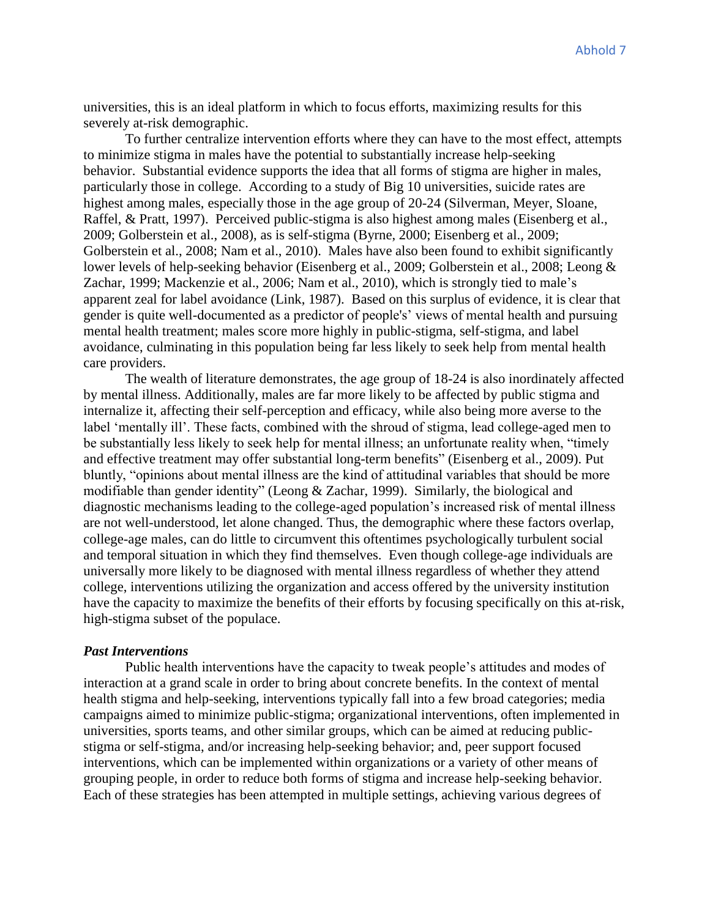universities, this is an ideal platform in which to focus efforts, maximizing results for this severely at-risk demographic.

To further centralize intervention efforts where they can have to the most effect, attempts to minimize stigma in males have the potential to substantially increase help-seeking behavior. Substantial evidence supports the idea that all forms of stigma are higher in males, particularly those in college. According to a study of Big 10 universities, suicide rates are highest among males, especially those in the age group of 20-24 (Silverman, Meyer, Sloane, Raffel, & Pratt, 1997). Perceived public-stigma is also highest among males (Eisenberg et al., 2009; Golberstein et al., 2008), as is self-stigma (Byrne, 2000; Eisenberg et al., 2009; Golberstein et al., 2008; Nam et al., 2010). Males have also been found to exhibit significantly lower levels of help-seeking behavior (Eisenberg et al., 2009; Golberstein et al., 2008; Leong & Zachar, 1999; Mackenzie et al., 2006; Nam et al., 2010), which is strongly tied to male's apparent zeal for label avoidance (Link, 1987). Based on this surplus of evidence, it is clear that gender is quite well-documented as a predictor of people's' views of mental health and pursuing mental health treatment; males score more highly in public-stigma, self-stigma, and label avoidance, culminating in this population being far less likely to seek help from mental health care providers.

The wealth of literature demonstrates, the age group of 18-24 is also inordinately affected by mental illness. Additionally, males are far more likely to be affected by public stigma and internalize it, affecting their self-perception and efficacy, while also being more averse to the label 'mentally ill'. These facts, combined with the shroud of stigma, lead college-aged men to be substantially less likely to seek help for mental illness; an unfortunate reality when, "timely and effective treatment may offer substantial long-term benefits" (Eisenberg et al., 2009). Put bluntly, "opinions about mental illness are the kind of attitudinal variables that should be more modifiable than gender identity" (Leong & Zachar, 1999). Similarly, the biological and diagnostic mechanisms leading to the college-aged population's increased risk of mental illness are not well-understood, let alone changed. Thus, the demographic where these factors overlap, college-age males, can do little to circumvent this oftentimes psychologically turbulent social and temporal situation in which they find themselves. Even though college-age individuals are universally more likely to be diagnosed with mental illness regardless of whether they attend college, interventions utilizing the organization and access offered by the university institution have the capacity to maximize the benefits of their efforts by focusing specifically on this at-risk, high-stigma subset of the populace.

#### *Past Interventions*

 Public health interventions have the capacity to tweak people's attitudes and modes of interaction at a grand scale in order to bring about concrete benefits. In the context of mental health stigma and help-seeking, interventions typically fall into a few broad categories; media campaigns aimed to minimize public-stigma; organizational interventions, often implemented in universities, sports teams, and other similar groups, which can be aimed at reducing publicstigma or self-stigma, and/or increasing help-seeking behavior; and, peer support focused interventions, which can be implemented within organizations or a variety of other means of grouping people, in order to reduce both forms of stigma and increase help-seeking behavior. Each of these strategies has been attempted in multiple settings, achieving various degrees of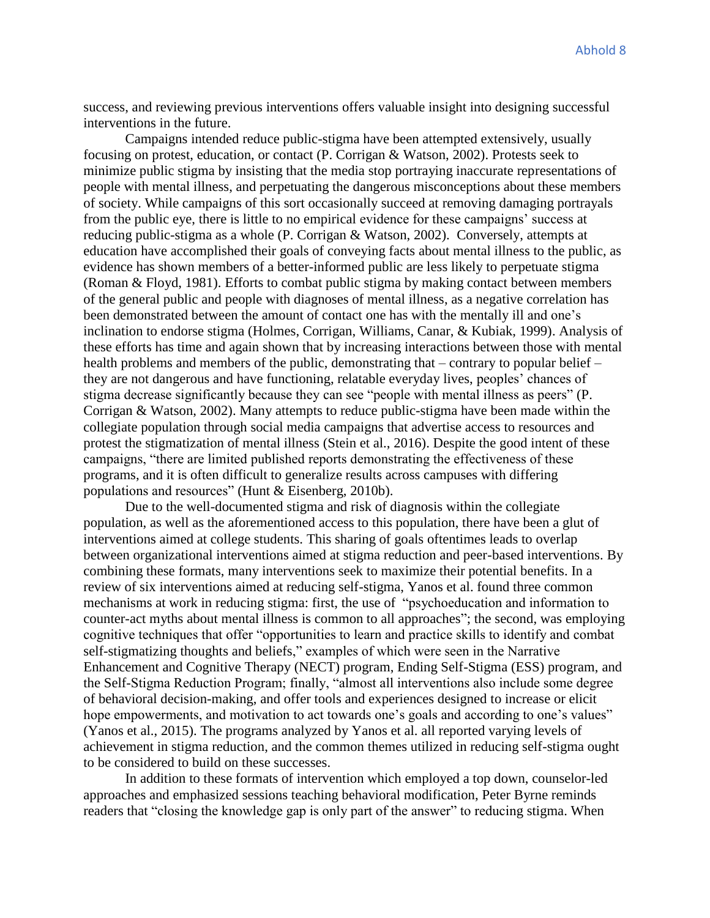success, and reviewing previous interventions offers valuable insight into designing successful interventions in the future.

Campaigns intended reduce public-stigma have been attempted extensively, usually focusing on protest, education, or contact (P. Corrigan & Watson, 2002). Protests seek to minimize public stigma by insisting that the media stop portraying inaccurate representations of people with mental illness, and perpetuating the dangerous misconceptions about these members of society. While campaigns of this sort occasionally succeed at removing damaging portrayals from the public eye, there is little to no empirical evidence for these campaigns' success at reducing public-stigma as a whole (P. Corrigan & Watson, 2002). Conversely, attempts at education have accomplished their goals of conveying facts about mental illness to the public, as evidence has shown members of a better-informed public are less likely to perpetuate stigma (Roman & Floyd, 1981). Efforts to combat public stigma by making contact between members of the general public and people with diagnoses of mental illness, as a negative correlation has been demonstrated between the amount of contact one has with the mentally ill and one's inclination to endorse stigma (Holmes, Corrigan, Williams, Canar, & Kubiak, 1999). Analysis of these efforts has time and again shown that by increasing interactions between those with mental health problems and members of the public, demonstrating that – contrary to popular belief – they are not dangerous and have functioning, relatable everyday lives, peoples' chances of stigma decrease significantly because they can see "people with mental illness as peers" (P. Corrigan & Watson, 2002). Many attempts to reduce public-stigma have been made within the collegiate population through social media campaigns that advertise access to resources and protest the stigmatization of mental illness (Stein et al., 2016). Despite the good intent of these campaigns, "there are limited published reports demonstrating the effectiveness of these programs, and it is often difficult to generalize results across campuses with differing populations and resources" (Hunt & Eisenberg, 2010b).

Due to the well-documented stigma and risk of diagnosis within the collegiate population, as well as the aforementioned access to this population, there have been a glut of interventions aimed at college students. This sharing of goals oftentimes leads to overlap between organizational interventions aimed at stigma reduction and peer-based interventions. By combining these formats, many interventions seek to maximize their potential benefits. In a review of six interventions aimed at reducing self-stigma, Yanos et al. found three common mechanisms at work in reducing stigma: first, the use of "psychoeducation and information to counter-act myths about mental illness is common to all approaches"; the second, was employing cognitive techniques that offer "opportunities to learn and practice skills to identify and combat self-stigmatizing thoughts and beliefs," examples of which were seen in the Narrative Enhancement and Cognitive Therapy (NECT) program, Ending Self-Stigma (ESS) program, and the Self-Stigma Reduction Program; finally, "almost all interventions also include some degree of behavioral decision-making, and offer tools and experiences designed to increase or elicit hope empowerments, and motivation to act towards one's goals and according to one's values" (Yanos et al., 2015). The programs analyzed by Yanos et al. all reported varying levels of achievement in stigma reduction, and the common themes utilized in reducing self-stigma ought to be considered to build on these successes.

In addition to these formats of intervention which employed a top down, counselor-led approaches and emphasized sessions teaching behavioral modification, Peter Byrne reminds readers that "closing the knowledge gap is only part of the answer" to reducing stigma. When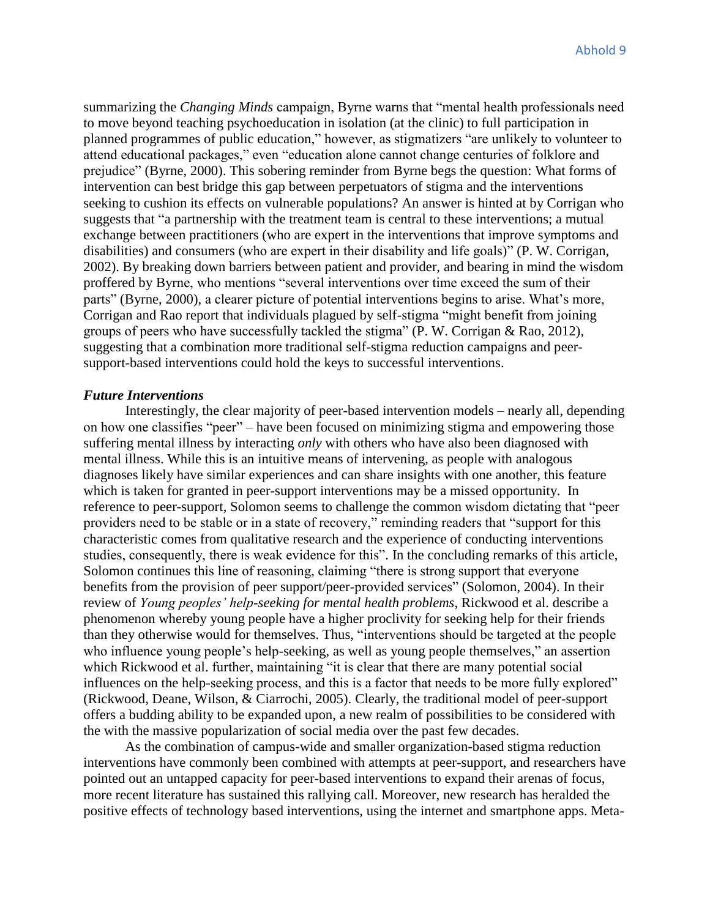summarizing the *Changing Minds* campaign, Byrne warns that "mental health professionals need to move beyond teaching psychoeducation in isolation (at the clinic) to full participation in planned programmes of public education," however, as stigmatizers "are unlikely to volunteer to attend educational packages," even "education alone cannot change centuries of folklore and prejudice" (Byrne, 2000). This sobering reminder from Byrne begs the question: What forms of intervention can best bridge this gap between perpetuators of stigma and the interventions seeking to cushion its effects on vulnerable populations? An answer is hinted at by Corrigan who suggests that "a partnership with the treatment team is central to these interventions; a mutual exchange between practitioners (who are expert in the interventions that improve symptoms and disabilities) and consumers (who are expert in their disability and life goals)" (P. W. Corrigan, 2002). By breaking down barriers between patient and provider, and bearing in mind the wisdom proffered by Byrne, who mentions "several interventions over time exceed the sum of their parts" (Byrne, 2000), a clearer picture of potential interventions begins to arise. What's more, Corrigan and Rao report that individuals plagued by self-stigma "might benefit from joining groups of peers who have successfully tackled the stigma" (P. W. Corrigan & Rao, 2012), suggesting that a combination more traditional self-stigma reduction campaigns and peersupport-based interventions could hold the keys to successful interventions.

#### *Future Interventions*

Interestingly, the clear majority of peer-based intervention models – nearly all, depending on how one classifies "peer" – have been focused on minimizing stigma and empowering those suffering mental illness by interacting *only* with others who have also been diagnosed with mental illness. While this is an intuitive means of intervening, as people with analogous diagnoses likely have similar experiences and can share insights with one another, this feature which is taken for granted in peer-support interventions may be a missed opportunity. In reference to peer-support, Solomon seems to challenge the common wisdom dictating that "peer providers need to be stable or in a state of recovery," reminding readers that "support for this characteristic comes from qualitative research and the experience of conducting interventions studies, consequently, there is weak evidence for this". In the concluding remarks of this article, Solomon continues this line of reasoning, claiming "there is strong support that everyone benefits from the provision of peer support/peer-provided services" (Solomon, 2004). In their review of *Young peoples' help-seeking for mental health problems*, Rickwood et al. describe a phenomenon whereby young people have a higher proclivity for seeking help for their friends than they otherwise would for themselves. Thus, "interventions should be targeted at the people who influence young people's help-seeking, as well as young people themselves," an assertion which Rickwood et al. further, maintaining "it is clear that there are many potential social influences on the help-seeking process, and this is a factor that needs to be more fully explored" (Rickwood, Deane, Wilson, & Ciarrochi, 2005). Clearly, the traditional model of peer-support offers a budding ability to be expanded upon, a new realm of possibilities to be considered with the with the massive popularization of social media over the past few decades.

As the combination of campus-wide and smaller organization-based stigma reduction interventions have commonly been combined with attempts at peer-support, and researchers have pointed out an untapped capacity for peer-based interventions to expand their arenas of focus, more recent literature has sustained this rallying call. Moreover, new research has heralded the positive effects of technology based interventions, using the internet and smartphone apps. Meta-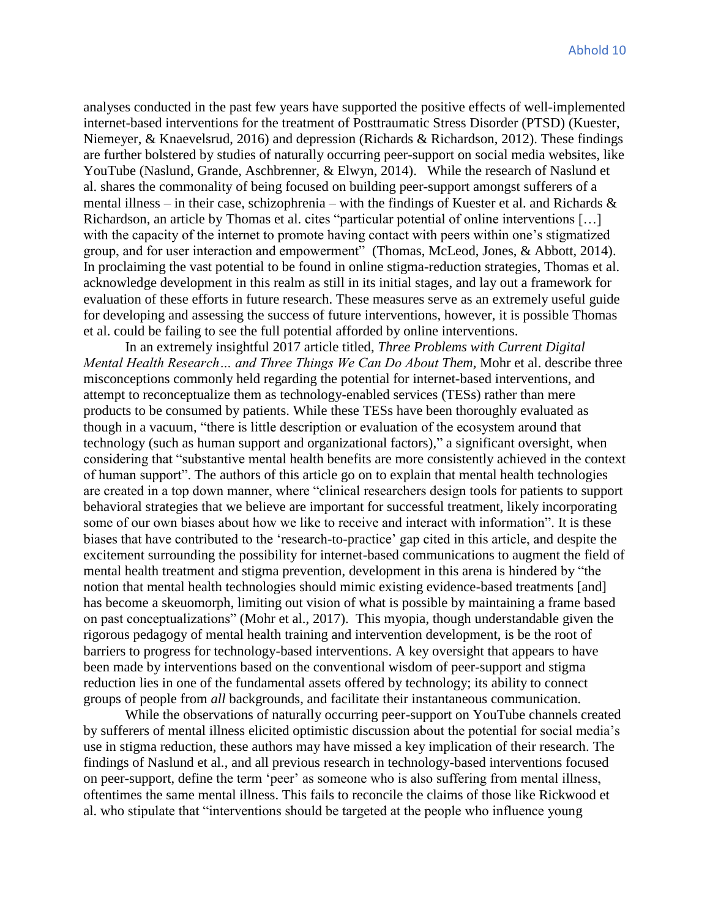analyses conducted in the past few years have supported the positive effects of well-implemented internet-based interventions for the treatment of Posttraumatic Stress Disorder (PTSD) (Kuester, Niemeyer, & Knaevelsrud, 2016) and depression (Richards & Richardson, 2012). These findings are further bolstered by studies of naturally occurring peer-support on social media websites, like YouTube (Naslund, Grande, Aschbrenner, & Elwyn, 2014). While the research of Naslund et al. shares the commonality of being focused on building peer-support amongst sufferers of a mental illness – in their case, schizophrenia – with the findings of Kuester et al. and Richards & Richardson, an article by Thomas et al. cites "particular potential of online interventions […] with the capacity of the internet to promote having contact with peers within one's stigmatized group, and for user interaction and empowerment" (Thomas, McLeod, Jones, & Abbott, 2014). In proclaiming the vast potential to be found in online stigma-reduction strategies, Thomas et al. acknowledge development in this realm as still in its initial stages, and lay out a framework for evaluation of these efforts in future research. These measures serve as an extremely useful guide for developing and assessing the success of future interventions, however, it is possible Thomas et al. could be failing to see the full potential afforded by online interventions.

In an extremely insightful 2017 article titled, *Three Problems with Current Digital Mental Health Research… and Three Things We Can Do About Them,* Mohr et al. describe three misconceptions commonly held regarding the potential for internet-based interventions, and attempt to reconceptualize them as technology-enabled services (TESs) rather than mere products to be consumed by patients. While these TESs have been thoroughly evaluated as though in a vacuum, "there is little description or evaluation of the ecosystem around that technology (such as human support and organizational factors)," a significant oversight, when considering that "substantive mental health benefits are more consistently achieved in the context of human support". The authors of this article go on to explain that mental health technologies are created in a top down manner, where "clinical researchers design tools for patients to support behavioral strategies that we believe are important for successful treatment, likely incorporating some of our own biases about how we like to receive and interact with information". It is these biases that have contributed to the 'research-to-practice' gap cited in this article, and despite the excitement surrounding the possibility for internet-based communications to augment the field of mental health treatment and stigma prevention, development in this arena is hindered by "the notion that mental health technologies should mimic existing evidence-based treatments [and] has become a skeuomorph, limiting out vision of what is possible by maintaining a frame based on past conceptualizations" (Mohr et al., 2017). This myopia, though understandable given the rigorous pedagogy of mental health training and intervention development, is be the root of barriers to progress for technology-based interventions. A key oversight that appears to have been made by interventions based on the conventional wisdom of peer-support and stigma reduction lies in one of the fundamental assets offered by technology; its ability to connect groups of people from *all* backgrounds, and facilitate their instantaneous communication.

While the observations of naturally occurring peer-support on YouTube channels created by sufferers of mental illness elicited optimistic discussion about the potential for social media's use in stigma reduction, these authors may have missed a key implication of their research. The findings of Naslund et al., and all previous research in technology-based interventions focused on peer-support, define the term 'peer' as someone who is also suffering from mental illness, oftentimes the same mental illness. This fails to reconcile the claims of those like Rickwood et al. who stipulate that "interventions should be targeted at the people who influence young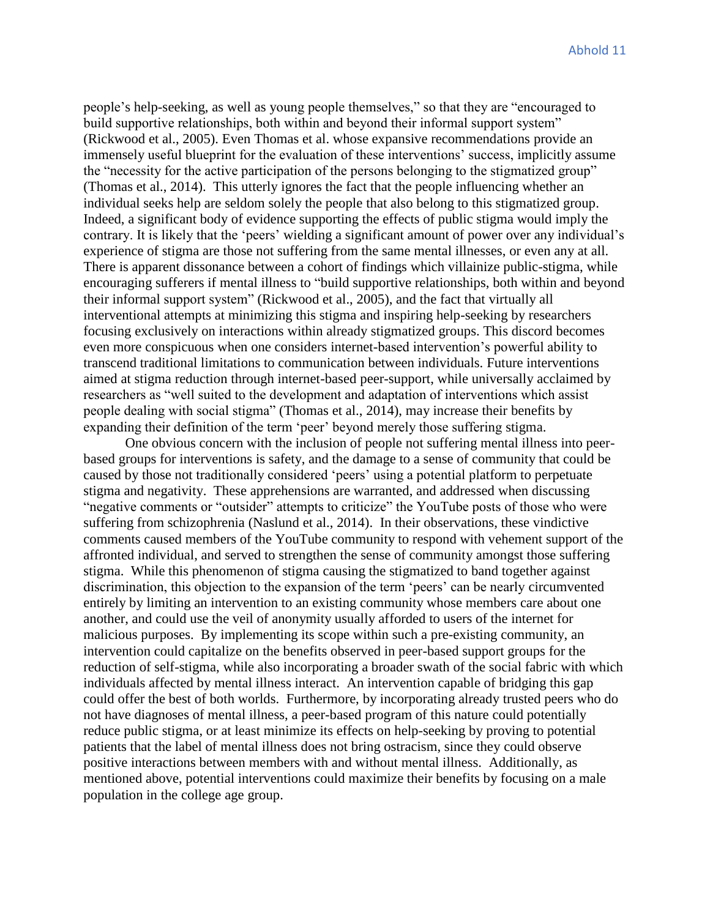people's help-seeking, as well as young people themselves," so that they are "encouraged to build supportive relationships, both within and beyond their informal support system" (Rickwood et al., 2005). Even Thomas et al. whose expansive recommendations provide an immensely useful blueprint for the evaluation of these interventions' success, implicitly assume the "necessity for the active participation of the persons belonging to the stigmatized group" (Thomas et al., 2014). This utterly ignores the fact that the people influencing whether an individual seeks help are seldom solely the people that also belong to this stigmatized group. Indeed, a significant body of evidence supporting the effects of public stigma would imply the contrary. It is likely that the 'peers' wielding a significant amount of power over any individual's experience of stigma are those not suffering from the same mental illnesses, or even any at all. There is apparent dissonance between a cohort of findings which villainize public-stigma, while encouraging sufferers if mental illness to "build supportive relationships, both within and beyond their informal support system" (Rickwood et al., 2005), and the fact that virtually all interventional attempts at minimizing this stigma and inspiring help-seeking by researchers focusing exclusively on interactions within already stigmatized groups. This discord becomes even more conspicuous when one considers internet-based intervention's powerful ability to transcend traditional limitations to communication between individuals. Future interventions aimed at stigma reduction through internet-based peer-support, while universally acclaimed by researchers as "well suited to the development and adaptation of interventions which assist people dealing with social stigma" (Thomas et al., 2014), may increase their benefits by expanding their definition of the term 'peer' beyond merely those suffering stigma.

One obvious concern with the inclusion of people not suffering mental illness into peerbased groups for interventions is safety, and the damage to a sense of community that could be caused by those not traditionally considered 'peers' using a potential platform to perpetuate stigma and negativity. These apprehensions are warranted, and addressed when discussing "negative comments or "outsider" attempts to criticize" the YouTube posts of those who were suffering from schizophrenia (Naslund et al., 2014). In their observations, these vindictive comments caused members of the YouTube community to respond with vehement support of the affronted individual, and served to strengthen the sense of community amongst those suffering stigma. While this phenomenon of stigma causing the stigmatized to band together against discrimination, this objection to the expansion of the term 'peers' can be nearly circumvented entirely by limiting an intervention to an existing community whose members care about one another, and could use the veil of anonymity usually afforded to users of the internet for malicious purposes. By implementing its scope within such a pre-existing community, an intervention could capitalize on the benefits observed in peer-based support groups for the reduction of self-stigma, while also incorporating a broader swath of the social fabric with which individuals affected by mental illness interact. An intervention capable of bridging this gap could offer the best of both worlds. Furthermore, by incorporating already trusted peers who do not have diagnoses of mental illness, a peer-based program of this nature could potentially reduce public stigma, or at least minimize its effects on help-seeking by proving to potential patients that the label of mental illness does not bring ostracism, since they could observe positive interactions between members with and without mental illness. Additionally, as mentioned above, potential interventions could maximize their benefits by focusing on a male population in the college age group.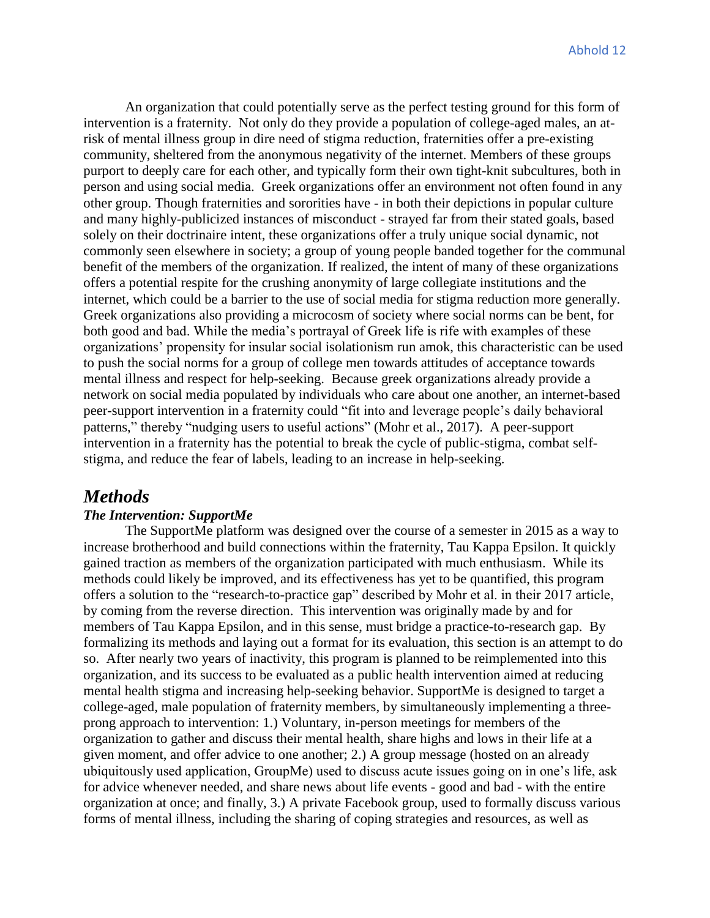An organization that could potentially serve as the perfect testing ground for this form of intervention is a fraternity. Not only do they provide a population of college-aged males, an atrisk of mental illness group in dire need of stigma reduction, fraternities offer a pre-existing community, sheltered from the anonymous negativity of the internet. Members of these groups purport to deeply care for each other, and typically form their own tight-knit subcultures, both in person and using social media. Greek organizations offer an environment not often found in any other group. Though fraternities and sororities have - in both their depictions in popular culture and many highly-publicized instances of misconduct - strayed far from their stated goals, based solely on their doctrinaire intent, these organizations offer a truly unique social dynamic, not commonly seen elsewhere in society; a group of young people banded together for the communal benefit of the members of the organization. If realized, the intent of many of these organizations offers a potential respite for the crushing anonymity of large collegiate institutions and the internet, which could be a barrier to the use of social media for stigma reduction more generally. Greek organizations also providing a microcosm of society where social norms can be bent, for both good and bad. While the media's portrayal of Greek life is rife with examples of these organizations' propensity for insular social isolationism run amok, this characteristic can be used to push the social norms for a group of college men towards attitudes of acceptance towards mental illness and respect for help-seeking. Because greek organizations already provide a network on social media populated by individuals who care about one another, an internet-based peer-support intervention in a fraternity could "fit into and leverage people's daily behavioral patterns," thereby "nudging users to useful actions" (Mohr et al., 2017). A peer-support intervention in a fraternity has the potential to break the cycle of public-stigma, combat selfstigma, and reduce the fear of labels, leading to an increase in help-seeking.

# *Methods*

#### *The Intervention: SupportMe*

 The SupportMe platform was designed over the course of a semester in 2015 as a way to increase brotherhood and build connections within the fraternity, Tau Kappa Epsilon. It quickly gained traction as members of the organization participated with much enthusiasm. While its methods could likely be improved, and its effectiveness has yet to be quantified, this program offers a solution to the "research-to-practice gap" described by Mohr et al. in their 2017 article, by coming from the reverse direction. This intervention was originally made by and for members of Tau Kappa Epsilon, and in this sense, must bridge a practice-to-research gap. By formalizing its methods and laying out a format for its evaluation, this section is an attempt to do so. After nearly two years of inactivity, this program is planned to be reimplemented into this organization, and its success to be evaluated as a public health intervention aimed at reducing mental health stigma and increasing help-seeking behavior. SupportMe is designed to target a college-aged, male population of fraternity members, by simultaneously implementing a threeprong approach to intervention: 1.) Voluntary, in-person meetings for members of the organization to gather and discuss their mental health, share highs and lows in their life at a given moment, and offer advice to one another; 2.) A group message (hosted on an already ubiquitously used application, GroupMe) used to discuss acute issues going on in one's life, ask for advice whenever needed, and share news about life events - good and bad - with the entire organization at once; and finally, 3.) A private Facebook group, used to formally discuss various forms of mental illness, including the sharing of coping strategies and resources, as well as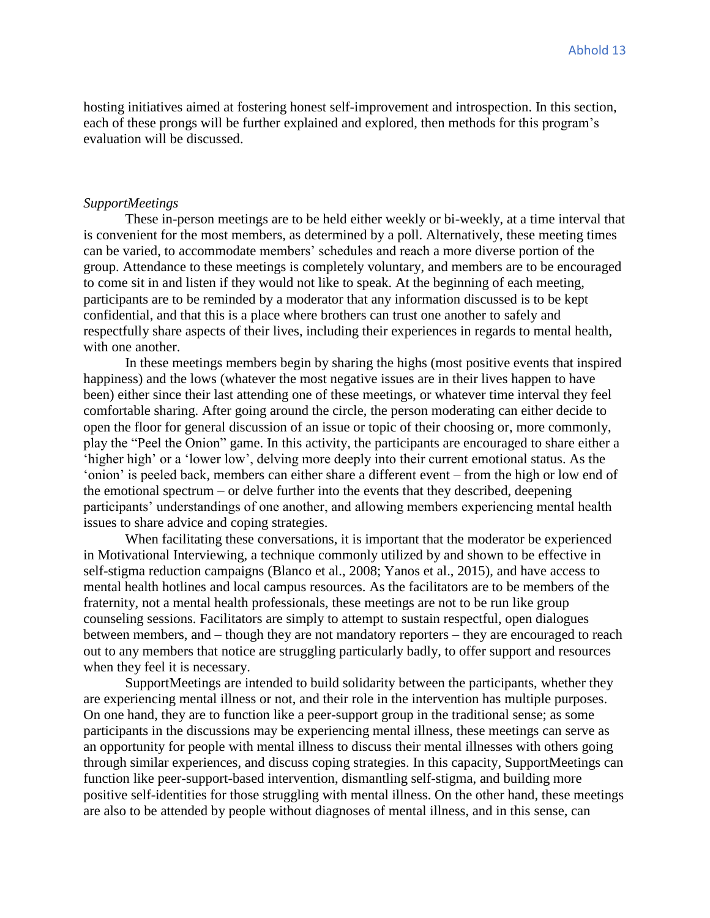hosting initiatives aimed at fostering honest self-improvement and introspection. In this section, each of these prongs will be further explained and explored, then methods for this program's evaluation will be discussed.

#### *SupportMeetings*

These in-person meetings are to be held either weekly or bi-weekly, at a time interval that is convenient for the most members, as determined by a poll. Alternatively, these meeting times can be varied, to accommodate members' schedules and reach a more diverse portion of the group. Attendance to these meetings is completely voluntary, and members are to be encouraged to come sit in and listen if they would not like to speak. At the beginning of each meeting, participants are to be reminded by a moderator that any information discussed is to be kept confidential, and that this is a place where brothers can trust one another to safely and respectfully share aspects of their lives, including their experiences in regards to mental health, with one another.

In these meetings members begin by sharing the highs (most positive events that inspired happiness) and the lows (whatever the most negative issues are in their lives happen to have been) either since their last attending one of these meetings, or whatever time interval they feel comfortable sharing. After going around the circle, the person moderating can either decide to open the floor for general discussion of an issue or topic of their choosing or, more commonly, play the "Peel the Onion" game. In this activity, the participants are encouraged to share either a 'higher high' or a 'lower low', delving more deeply into their current emotional status. As the 'onion' is peeled back, members can either share a different event – from the high or low end of the emotional spectrum – or delve further into the events that they described, deepening participants' understandings of one another, and allowing members experiencing mental health issues to share advice and coping strategies.

When facilitating these conversations, it is important that the moderator be experienced in Motivational Interviewing, a technique commonly utilized by and shown to be effective in self-stigma reduction campaigns (Blanco et al., 2008; Yanos et al., 2015), and have access to mental health hotlines and local campus resources. As the facilitators are to be members of the fraternity, not a mental health professionals, these meetings are not to be run like group counseling sessions. Facilitators are simply to attempt to sustain respectful, open dialogues between members, and – though they are not mandatory reporters – they are encouraged to reach out to any members that notice are struggling particularly badly, to offer support and resources when they feel it is necessary.

SupportMeetings are intended to build solidarity between the participants, whether they are experiencing mental illness or not, and their role in the intervention has multiple purposes. On one hand, they are to function like a peer-support group in the traditional sense; as some participants in the discussions may be experiencing mental illness, these meetings can serve as an opportunity for people with mental illness to discuss their mental illnesses with others going through similar experiences, and discuss coping strategies. In this capacity, SupportMeetings can function like peer-support-based intervention, dismantling self-stigma, and building more positive self-identities for those struggling with mental illness. On the other hand, these meetings are also to be attended by people without diagnoses of mental illness, and in this sense, can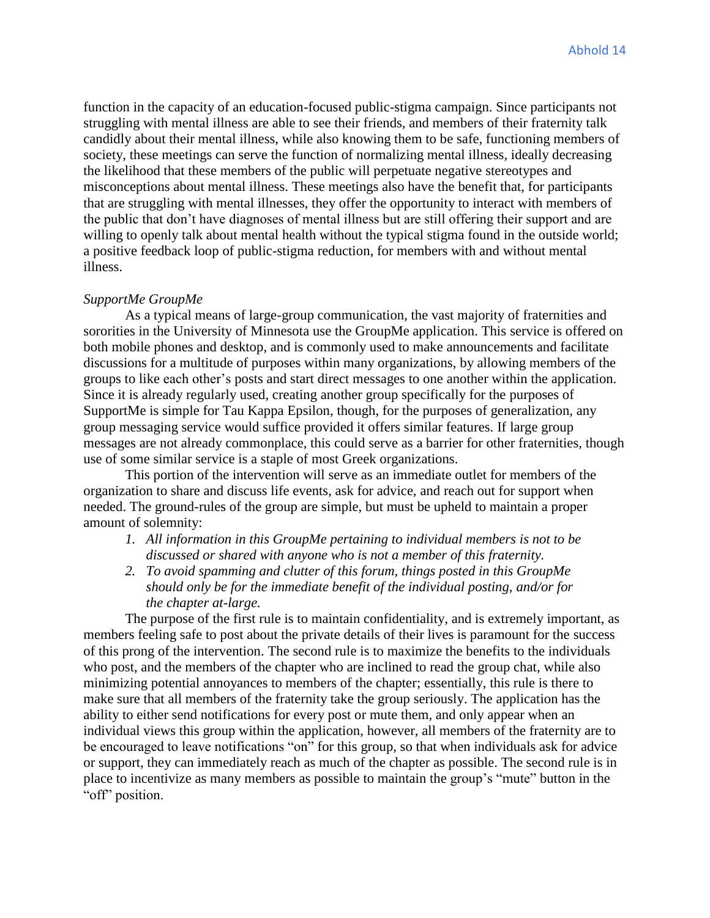function in the capacity of an education-focused public-stigma campaign. Since participants not struggling with mental illness are able to see their friends, and members of their fraternity talk candidly about their mental illness, while also knowing them to be safe, functioning members of society, these meetings can serve the function of normalizing mental illness, ideally decreasing the likelihood that these members of the public will perpetuate negative stereotypes and misconceptions about mental illness. These meetings also have the benefit that, for participants that are struggling with mental illnesses, they offer the opportunity to interact with members of the public that don't have diagnoses of mental illness but are still offering their support and are willing to openly talk about mental health without the typical stigma found in the outside world; a positive feedback loop of public-stigma reduction, for members with and without mental illness.

#### *SupportMe GroupMe*

As a typical means of large-group communication, the vast majority of fraternities and sororities in the University of Minnesota use the GroupMe application. This service is offered on both mobile phones and desktop, and is commonly used to make announcements and facilitate discussions for a multitude of purposes within many organizations, by allowing members of the groups to like each other's posts and start direct messages to one another within the application. Since it is already regularly used, creating another group specifically for the purposes of SupportMe is simple for Tau Kappa Epsilon, though, for the purposes of generalization, any group messaging service would suffice provided it offers similar features. If large group messages are not already commonplace, this could serve as a barrier for other fraternities, though use of some similar service is a staple of most Greek organizations.

This portion of the intervention will serve as an immediate outlet for members of the organization to share and discuss life events, ask for advice, and reach out for support when needed. The ground-rules of the group are simple, but must be upheld to maintain a proper amount of solemnity:

- *1. All information in this GroupMe pertaining to individual members is not to be discussed or shared with anyone who is not a member of this fraternity.*
- *2. To avoid spamming and clutter of this forum, things posted in this GroupMe should only be for the immediate benefit of the individual posting, and/or for the chapter at-large.*

The purpose of the first rule is to maintain confidentiality, and is extremely important, as members feeling safe to post about the private details of their lives is paramount for the success of this prong of the intervention. The second rule is to maximize the benefits to the individuals who post, and the members of the chapter who are inclined to read the group chat, while also minimizing potential annoyances to members of the chapter; essentially, this rule is there to make sure that all members of the fraternity take the group seriously. The application has the ability to either send notifications for every post or mute them, and only appear when an individual views this group within the application, however, all members of the fraternity are to be encouraged to leave notifications "on" for this group, so that when individuals ask for advice or support, they can immediately reach as much of the chapter as possible. The second rule is in place to incentivize as many members as possible to maintain the group's "mute" button in the "off" position.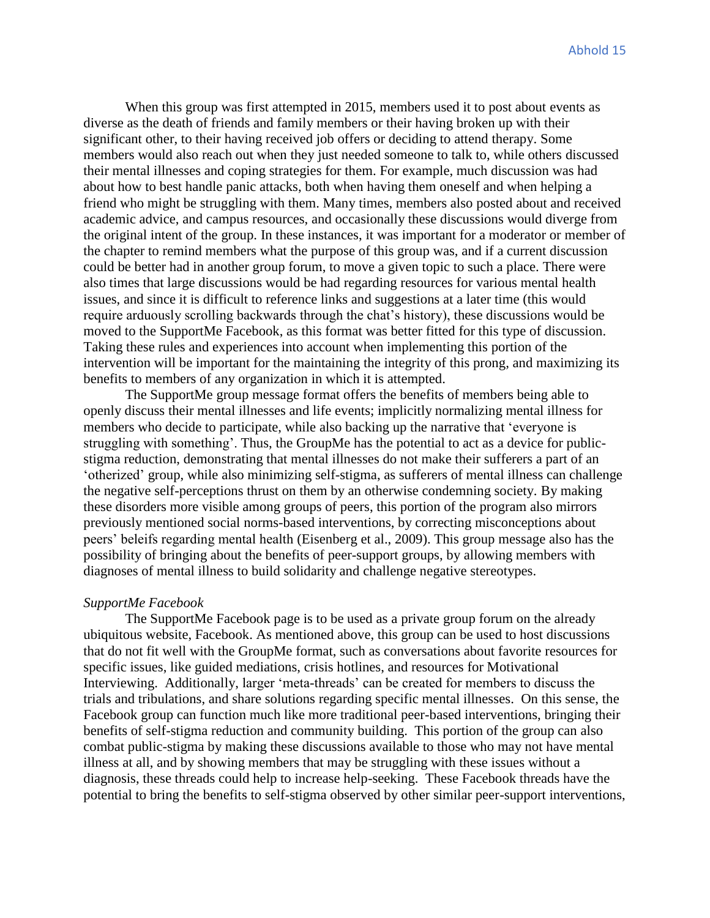When this group was first attempted in 2015, members used it to post about events as diverse as the death of friends and family members or their having broken up with their significant other, to their having received job offers or deciding to attend therapy. Some members would also reach out when they just needed someone to talk to, while others discussed their mental illnesses and coping strategies for them. For example, much discussion was had about how to best handle panic attacks, both when having them oneself and when helping a friend who might be struggling with them. Many times, members also posted about and received academic advice, and campus resources, and occasionally these discussions would diverge from the original intent of the group. In these instances, it was important for a moderator or member of the chapter to remind members what the purpose of this group was, and if a current discussion could be better had in another group forum, to move a given topic to such a place. There were also times that large discussions would be had regarding resources for various mental health issues, and since it is difficult to reference links and suggestions at a later time (this would require arduously scrolling backwards through the chat's history), these discussions would be moved to the SupportMe Facebook, as this format was better fitted for this type of discussion. Taking these rules and experiences into account when implementing this portion of the intervention will be important for the maintaining the integrity of this prong, and maximizing its benefits to members of any organization in which it is attempted.

The SupportMe group message format offers the benefits of members being able to openly discuss their mental illnesses and life events; implicitly normalizing mental illness for members who decide to participate, while also backing up the narrative that 'everyone is struggling with something'. Thus, the GroupMe has the potential to act as a device for publicstigma reduction, demonstrating that mental illnesses do not make their sufferers a part of an 'otherized' group, while also minimizing self-stigma, as sufferers of mental illness can challenge the negative self-perceptions thrust on them by an otherwise condemning society. By making these disorders more visible among groups of peers, this portion of the program also mirrors previously mentioned social norms-based interventions, by correcting misconceptions about peers' beleifs regarding mental health (Eisenberg et al., 2009). This group message also has the possibility of bringing about the benefits of peer-support groups, by allowing members with diagnoses of mental illness to build solidarity and challenge negative stereotypes.

#### *SupportMe Facebook*

The SupportMe Facebook page is to be used as a private group forum on the already ubiquitous website, Facebook. As mentioned above, this group can be used to host discussions that do not fit well with the GroupMe format, such as conversations about favorite resources for specific issues, like guided mediations, crisis hotlines, and resources for Motivational Interviewing. Additionally, larger 'meta-threads' can be created for members to discuss the trials and tribulations, and share solutions regarding specific mental illnesses. On this sense, the Facebook group can function much like more traditional peer-based interventions, bringing their benefits of self-stigma reduction and community building. This portion of the group can also combat public-stigma by making these discussions available to those who may not have mental illness at all, and by showing members that may be struggling with these issues without a diagnosis, these threads could help to increase help-seeking. These Facebook threads have the potential to bring the benefits to self-stigma observed by other similar peer-support interventions,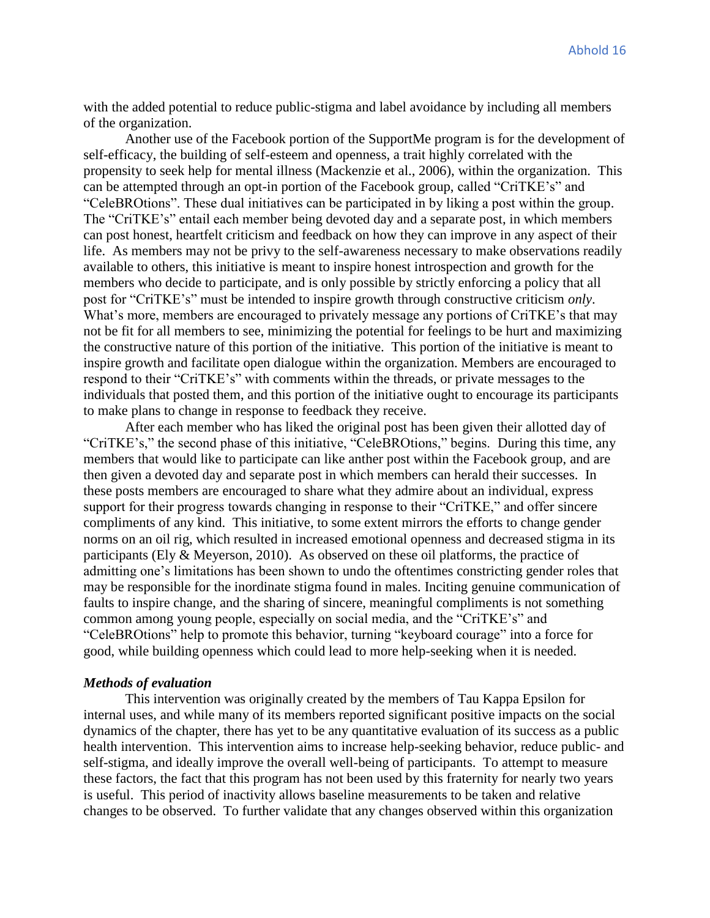with the added potential to reduce public-stigma and label avoidance by including all members of the organization.

Another use of the Facebook portion of the SupportMe program is for the development of self-efficacy, the building of self-esteem and openness, a trait highly correlated with the propensity to seek help for mental illness (Mackenzie et al., 2006), within the organization. This can be attempted through an opt-in portion of the Facebook group, called "CriTKE's" and "CeleBROtions". These dual initiatives can be participated in by liking a post within the group. The "CriTKE's" entail each member being devoted day and a separate post, in which members can post honest, heartfelt criticism and feedback on how they can improve in any aspect of their life. As members may not be privy to the self-awareness necessary to make observations readily available to others, this initiative is meant to inspire honest introspection and growth for the members who decide to participate, and is only possible by strictly enforcing a policy that all post for "CriTKE's" must be intended to inspire growth through constructive criticism *only*. What's more, members are encouraged to privately message any portions of CriTKE's that may not be fit for all members to see, minimizing the potential for feelings to be hurt and maximizing the constructive nature of this portion of the initiative. This portion of the initiative is meant to inspire growth and facilitate open dialogue within the organization. Members are encouraged to respond to their "CriTKE's" with comments within the threads, or private messages to the individuals that posted them, and this portion of the initiative ought to encourage its participants to make plans to change in response to feedback they receive.

After each member who has liked the original post has been given their allotted day of "CriTKE's," the second phase of this initiative, "CeleBROtions," begins. During this time, any members that would like to participate can like anther post within the Facebook group, and are then given a devoted day and separate post in which members can herald their successes. In these posts members are encouraged to share what they admire about an individual, express support for their progress towards changing in response to their "CriTKE," and offer sincere compliments of any kind. This initiative, to some extent mirrors the efforts to change gender norms on an oil rig, which resulted in increased emotional openness and decreased stigma in its participants (Ely & Meyerson, 2010). As observed on these oil platforms, the practice of admitting one's limitations has been shown to undo the oftentimes constricting gender roles that may be responsible for the inordinate stigma found in males. Inciting genuine communication of faults to inspire change, and the sharing of sincere, meaningful compliments is not something common among young people, especially on social media, and the "CriTKE's" and "CeleBROtions" help to promote this behavior, turning "keyboard courage" into a force for good, while building openness which could lead to more help-seeking when it is needed.

#### *Methods of evaluation*

This intervention was originally created by the members of Tau Kappa Epsilon for internal uses, and while many of its members reported significant positive impacts on the social dynamics of the chapter, there has yet to be any quantitative evaluation of its success as a public health intervention. This intervention aims to increase help-seeking behavior, reduce public- and self-stigma, and ideally improve the overall well-being of participants. To attempt to measure these factors, the fact that this program has not been used by this fraternity for nearly two years is useful. This period of inactivity allows baseline measurements to be taken and relative changes to be observed. To further validate that any changes observed within this organization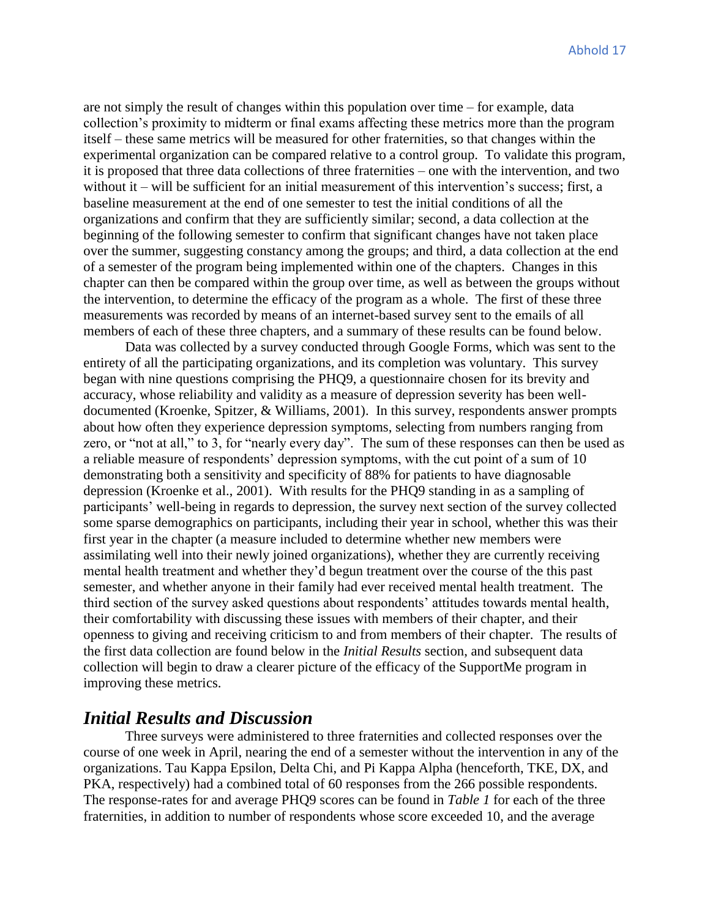are not simply the result of changes within this population over time – for example, data collection's proximity to midterm or final exams affecting these metrics more than the program itself – these same metrics will be measured for other fraternities, so that changes within the experimental organization can be compared relative to a control group. To validate this program, it is proposed that three data collections of three fraternities – one with the intervention, and two without it – will be sufficient for an initial measurement of this intervention's success; first, a baseline measurement at the end of one semester to test the initial conditions of all the organizations and confirm that they are sufficiently similar; second, a data collection at the beginning of the following semester to confirm that significant changes have not taken place over the summer, suggesting constancy among the groups; and third, a data collection at the end of a semester of the program being implemented within one of the chapters. Changes in this chapter can then be compared within the group over time, as well as between the groups without the intervention, to determine the efficacy of the program as a whole. The first of these three measurements was recorded by means of an internet-based survey sent to the emails of all members of each of these three chapters, and a summary of these results can be found below.

Data was collected by a survey conducted through Google Forms, which was sent to the entirety of all the participating organizations, and its completion was voluntary. This survey began with nine questions comprising the PHQ9, a questionnaire chosen for its brevity and accuracy, whose reliability and validity as a measure of depression severity has been welldocumented (Kroenke, Spitzer, & Williams, 2001). In this survey, respondents answer prompts about how often they experience depression symptoms, selecting from numbers ranging from zero, or "not at all," to 3, for "nearly every day". The sum of these responses can then be used as a reliable measure of respondents' depression symptoms, with the cut point of a sum of 10 demonstrating both a sensitivity and specificity of 88% for patients to have diagnosable depression (Kroenke et al., 2001). With results for the PHQ9 standing in as a sampling of participants' well-being in regards to depression, the survey next section of the survey collected some sparse demographics on participants, including their year in school, whether this was their first year in the chapter (a measure included to determine whether new members were assimilating well into their newly joined organizations), whether they are currently receiving mental health treatment and whether they'd begun treatment over the course of the this past semester, and whether anyone in their family had ever received mental health treatment. The third section of the survey asked questions about respondents' attitudes towards mental health, their comfortability with discussing these issues with members of their chapter, and their openness to giving and receiving criticism to and from members of their chapter. The results of the first data collection are found below in the *Initial Results* section, and subsequent data collection will begin to draw a clearer picture of the efficacy of the SupportMe program in improving these metrics.

# *Initial Results and Discussion*

Three surveys were administered to three fraternities and collected responses over the course of one week in April, nearing the end of a semester without the intervention in any of the organizations. Tau Kappa Epsilon, Delta Chi, and Pi Kappa Alpha (henceforth, TKE, DX, and PKA, respectively) had a combined total of 60 responses from the 266 possible respondents. The response-rates for and average PHQ9 scores can be found in *Table 1* for each of the three fraternities, in addition to number of respondents whose score exceeded 10, and the average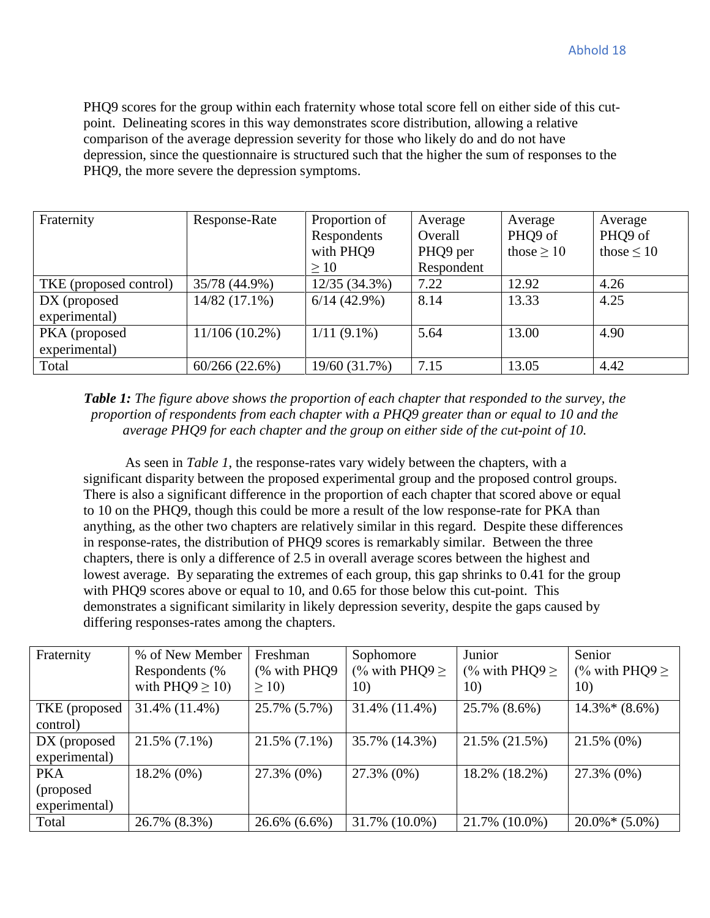PHQ9 scores for the group within each fraternity whose total score fell on either side of this cutpoint. Delineating scores in this way demonstrates score distribution, allowing a relative comparison of the average depression severity for those who likely do and do not have depression, since the questionnaire is structured such that the higher the sum of responses to the PHQ9, the more severe the depression symptoms.

| Fraternity             | Response-Rate    | Proportion of<br>Average<br>Respondents<br>Overall |            | Average<br>PHQ9 of | Average<br>PHQ9 of |
|------------------------|------------------|----------------------------------------------------|------------|--------------------|--------------------|
|                        |                  | with PHQ9                                          | PHQ9 per   | those $\geq 10$    | those $\leq 10$    |
|                        |                  | >10                                                | Respondent |                    |                    |
| TKE (proposed control) | 35/78 (44.9%)    | $12/35(34.3\%)$                                    | 7.22       | 12.92              | 4.26               |
| $DX$ (proposed         | $14/82(17.1\%)$  | $6/14(42.9\%)$                                     | 8.14       | 13.33              | 4.25               |
| experimental)          |                  |                                                    |            |                    |                    |
| PKA (proposed          | $11/106(10.2\%)$ | $1/11(9.1\%)$                                      | 5.64       | 13.00              | 4.90               |
| experimental)          |                  |                                                    |            |                    |                    |
| Total                  | 60/266(22.6%)    | 19/60 (31.7%)                                      | 7.15       | 13.05              | 4.42               |

*Table 1: The figure above shows the proportion of each chapter that responded to the survey, the proportion of respondents from each chapter with a PHQ9 greater than or equal to 10 and the average PHQ9 for each chapter and the group on either side of the cut-point of 10.*

As seen in *Table 1*, the response-rates vary widely between the chapters, with a significant disparity between the proposed experimental group and the proposed control groups. There is also a significant difference in the proportion of each chapter that scored above or equal to 10 on the PHQ9, though this could be more a result of the low response-rate for PKA than anything, as the other two chapters are relatively similar in this regard. Despite these differences in response-rates, the distribution of PHQ9 scores is remarkably similar. Between the three chapters, there is only a difference of 2.5 in overall average scores between the highest and lowest average. By separating the extremes of each group, this gap shrinks to 0.41 for the group with PHQ9 scores above or equal to 10, and 0.65 for those below this cut-point. This demonstrates a significant similarity in likely depression severity, despite the gaps caused by differing responses-rates among the chapters.

| Fraternity     | % of New Member      | Freshman        | Sophomore           | Junior              | Senior              |
|----------------|----------------------|-----------------|---------------------|---------------------|---------------------|
|                | Respondents (%       | (% with PHQ9)   | (% with PHQ9 $\geq$ | (% with PHQ9 $\geq$ | (% with PHQ9 $\geq$ |
|                | with $PHQ9 \ge 10$ ) | $\geq$ 10)      | 10)                 | 10)                 | 10)                 |
| TKE (proposed  | 31.4% (11.4%)        | 25.7% (5.7%)    | 31.4% (11.4%)       | 25.7% (8.6%)        | $14.3\%*(8.6\%)$    |
| control)       |                      |                 |                     |                     |                     |
| $DX$ (proposed | $21.5\%$ (7.1%)      | $21.5\%$ (7.1%) | 35.7% (14.3%)       | 21.5% (21.5%)       | 21.5% (0%)          |
| experimental)  |                      |                 |                     |                     |                     |
| <b>PKA</b>     | 18.2% (0%)           | 27.3% (0%)      | 27.3% (0%)          | 18.2% (18.2%)       | 27.3% (0%)          |
| (proposed)     |                      |                 |                     |                     |                     |
| experimental)  |                      |                 |                     |                     |                     |
| Total          | 26.7% (8.3%)         | 26.6% (6.6%)    | 31.7% (10.0%)       | 21.7% (10.0%)       | $20.0\%*(5.0\%)$    |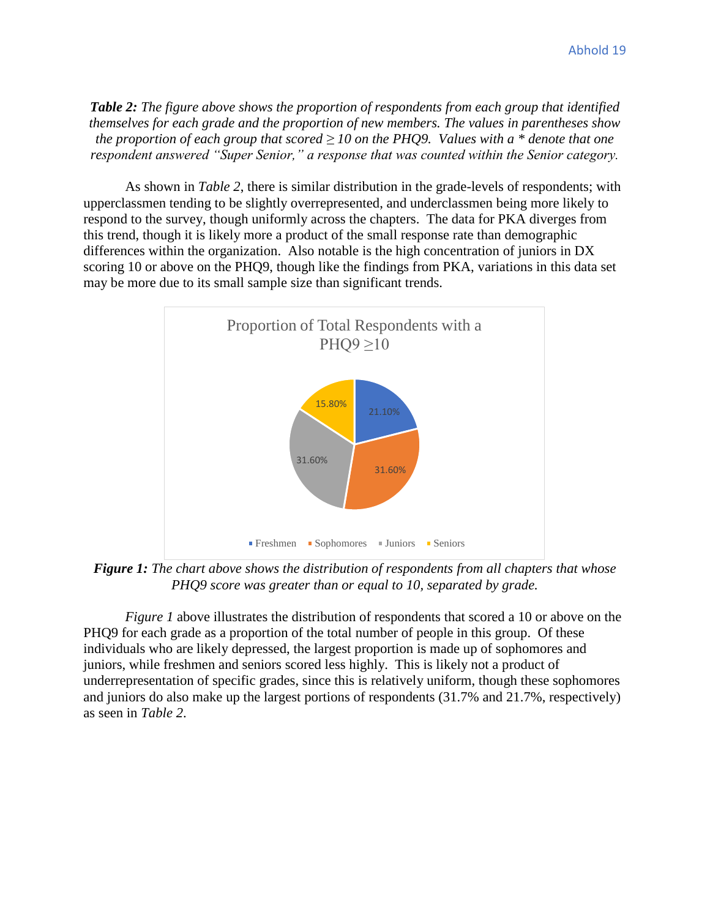*Table 2: The figure above shows the proportion of respondents from each group that identified themselves for each grade and the proportion of new members. The values in parentheses show the proportion of each group that scored ≥ 10 on the PHQ9. Values with a \* denote that one respondent answered "Super Senior," a response that was counted within the Senior category.*

As shown in *Table 2*, there is similar distribution in the grade-levels of respondents; with upperclassmen tending to be slightly overrepresented, and underclassmen being more likely to respond to the survey, though uniformly across the chapters. The data for PKA diverges from this trend, though it is likely more a product of the small response rate than demographic differences within the organization. Also notable is the high concentration of juniors in DX scoring 10 or above on the PHQ9, though like the findings from PKA, variations in this data set may be more due to its small sample size than significant trends.



*Figure 1: The chart above shows the distribution of respondents from all chapters that whose PHQ9 score was greater than or equal to 10, separated by grade.*

*Figure 1* above illustrates the distribution of respondents that scored a 10 or above on the PHQ9 for each grade as a proportion of the total number of people in this group. Of these individuals who are likely depressed, the largest proportion is made up of sophomores and juniors, while freshmen and seniors scored less highly. This is likely not a product of underrepresentation of specific grades, since this is relatively uniform, though these sophomores and juniors do also make up the largest portions of respondents (31.7% and 21.7%, respectively) as seen in *Table 2*.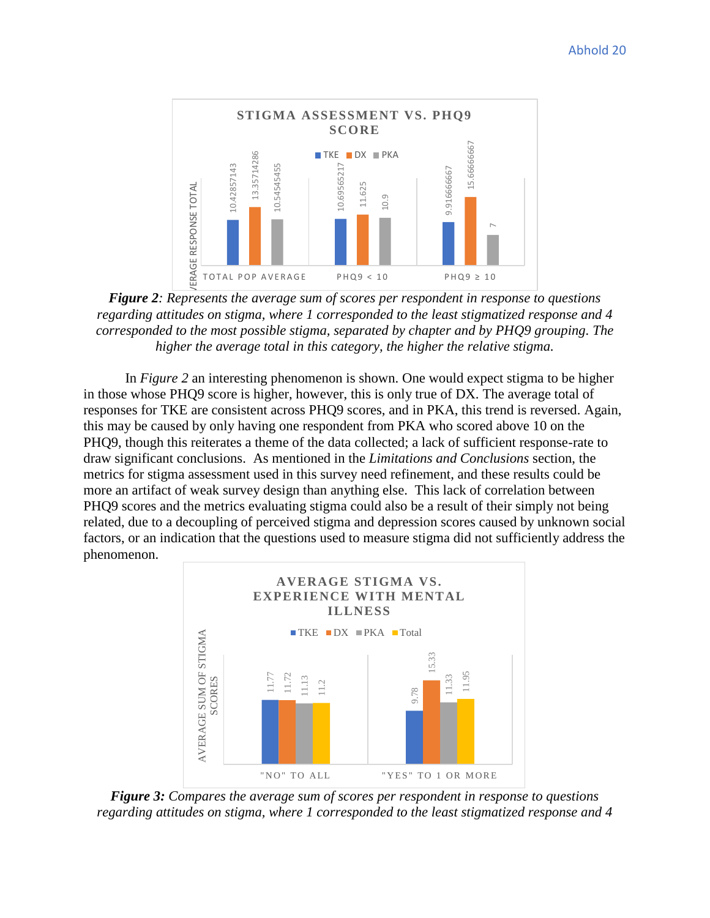

*Figure 2: Represents the average sum of scores per respondent in response to questions regarding attitudes on stigma, where 1 corresponded to the least stigmatized response and 4 corresponded to the most possible stigma, separated by chapter and by PHQ9 grouping. The higher the average total in this category, the higher the relative stigma.*

In *Figure 2* an interesting phenomenon is shown. One would expect stigma to be higher in those whose PHQ9 score is higher, however, this is only true of DX. The average total of responses for TKE are consistent across PHQ9 scores, and in PKA, this trend is reversed. Again, this may be caused by only having one respondent from PKA who scored above 10 on the PHQ9, though this reiterates a theme of the data collected; a lack of sufficient response-rate to draw significant conclusions. As mentioned in the *Limitations and Conclusions* section, the metrics for stigma assessment used in this survey need refinement, and these results could be more an artifact of weak survey design than anything else. This lack of correlation between PHQ9 scores and the metrics evaluating stigma could also be a result of their simply not being related, due to a decoupling of perceived stigma and depression scores caused by unknown social factors, or an indication that the questions used to measure stigma did not sufficiently address the phenomenon. **Figure 3**<br> **Figure 3** corresponded to the system and state is an algorithm in the position of the least stigmatized responded to the least stigma, where  $\frac{1}{2}$  corresponded to the most provide stigma, separated by cha



*Figure 3: Compares the average sum of scores per respondent in response to questions*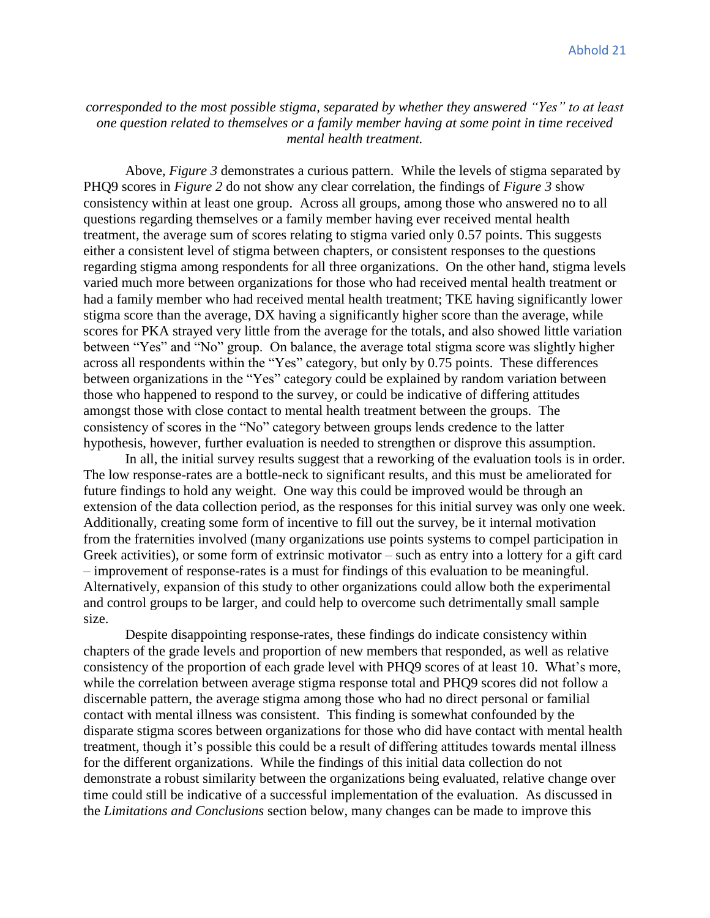## *corresponded to the most possible stigma, separated by whether they answered "Yes" to at least one question related to themselves or a family member having at some point in time received mental health treatment.*

Above, *Figure 3* demonstrates a curious pattern. While the levels of stigma separated by PHQ9 scores in *Figure 2* do not show any clear correlation, the findings of *Figure 3* show consistency within at least one group. Across all groups, among those who answered no to all questions regarding themselves or a family member having ever received mental health treatment, the average sum of scores relating to stigma varied only 0.57 points. This suggests either a consistent level of stigma between chapters, or consistent responses to the questions regarding stigma among respondents for all three organizations. On the other hand, stigma levels varied much more between organizations for those who had received mental health treatment or had a family member who had received mental health treatment; TKE having significantly lower stigma score than the average, DX having a significantly higher score than the average, while scores for PKA strayed very little from the average for the totals, and also showed little variation between "Yes" and "No" group. On balance, the average total stigma score was slightly higher across all respondents within the "Yes" category, but only by 0.75 points. These differences between organizations in the "Yes" category could be explained by random variation between those who happened to respond to the survey, or could be indicative of differing attitudes amongst those with close contact to mental health treatment between the groups. The consistency of scores in the "No" category between groups lends credence to the latter hypothesis, however, further evaluation is needed to strengthen or disprove this assumption.

In all, the initial survey results suggest that a reworking of the evaluation tools is in order. The low response-rates are a bottle-neck to significant results, and this must be ameliorated for future findings to hold any weight. One way this could be improved would be through an extension of the data collection period, as the responses for this initial survey was only one week. Additionally, creating some form of incentive to fill out the survey, be it internal motivation from the fraternities involved (many organizations use points systems to compel participation in Greek activities), or some form of extrinsic motivator – such as entry into a lottery for a gift card – improvement of response-rates is a must for findings of this evaluation to be meaningful. Alternatively, expansion of this study to other organizations could allow both the experimental and control groups to be larger, and could help to overcome such detrimentally small sample size.

Despite disappointing response-rates, these findings do indicate consistency within chapters of the grade levels and proportion of new members that responded, as well as relative consistency of the proportion of each grade level with PHQ9 scores of at least 10. What's more, while the correlation between average stigma response total and PHQ9 scores did not follow a discernable pattern, the average stigma among those who had no direct personal or familial contact with mental illness was consistent. This finding is somewhat confounded by the disparate stigma scores between organizations for those who did have contact with mental health treatment, though it's possible this could be a result of differing attitudes towards mental illness for the different organizations. While the findings of this initial data collection do not demonstrate a robust similarity between the organizations being evaluated, relative change over time could still be indicative of a successful implementation of the evaluation. As discussed in the *Limitations and Conclusions* section below, many changes can be made to improve this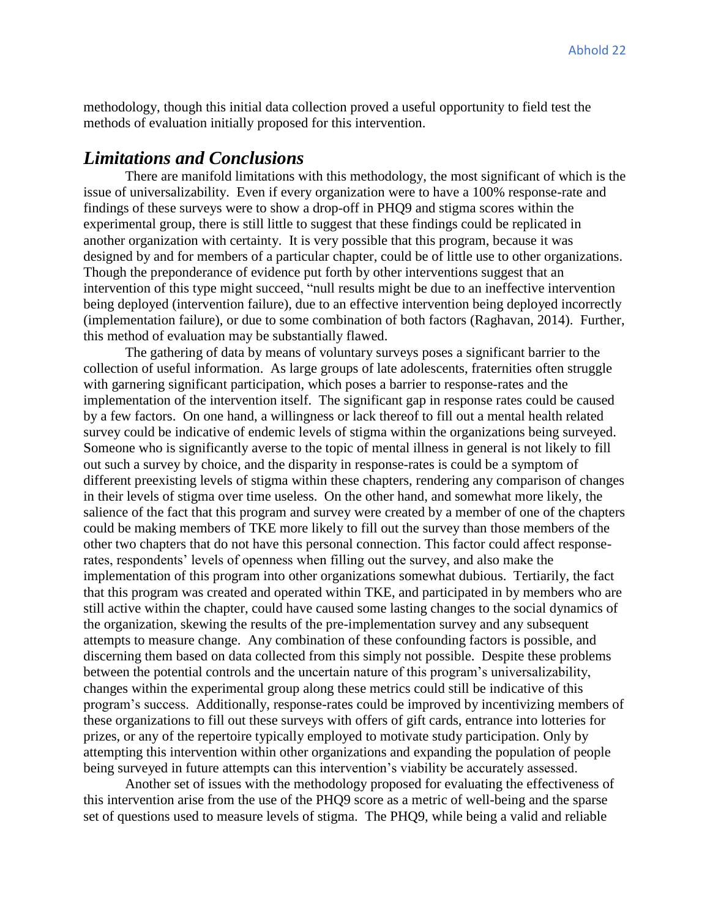methodology, though this initial data collection proved a useful opportunity to field test the methods of evaluation initially proposed for this intervention.

## *Limitations and Conclusions*

There are manifold limitations with this methodology, the most significant of which is the issue of universalizability. Even if every organization were to have a 100% response-rate and findings of these surveys were to show a drop-off in PHQ9 and stigma scores within the experimental group, there is still little to suggest that these findings could be replicated in another organization with certainty. It is very possible that this program, because it was designed by and for members of a particular chapter, could be of little use to other organizations. Though the preponderance of evidence put forth by other interventions suggest that an intervention of this type might succeed, "null results might be due to an ineffective intervention being deployed (intervention failure), due to an effective intervention being deployed incorrectly (implementation failure), or due to some combination of both factors (Raghavan, 2014). Further, this method of evaluation may be substantially flawed.

The gathering of data by means of voluntary surveys poses a significant barrier to the collection of useful information. As large groups of late adolescents, fraternities often struggle with garnering significant participation, which poses a barrier to response-rates and the implementation of the intervention itself. The significant gap in response rates could be caused by a few factors. On one hand, a willingness or lack thereof to fill out a mental health related survey could be indicative of endemic levels of stigma within the organizations being surveyed. Someone who is significantly averse to the topic of mental illness in general is not likely to fill out such a survey by choice, and the disparity in response-rates is could be a symptom of different preexisting levels of stigma within these chapters, rendering any comparison of changes in their levels of stigma over time useless. On the other hand, and somewhat more likely, the salience of the fact that this program and survey were created by a member of one of the chapters could be making members of TKE more likely to fill out the survey than those members of the other two chapters that do not have this personal connection. This factor could affect responserates, respondents' levels of openness when filling out the survey, and also make the implementation of this program into other organizations somewhat dubious. Tertiarily, the fact that this program was created and operated within TKE, and participated in by members who are still active within the chapter, could have caused some lasting changes to the social dynamics of the organization, skewing the results of the pre-implementation survey and any subsequent attempts to measure change. Any combination of these confounding factors is possible, and discerning them based on data collected from this simply not possible. Despite these problems between the potential controls and the uncertain nature of this program's universalizability, changes within the experimental group along these metrics could still be indicative of this program's success. Additionally, response-rates could be improved by incentivizing members of these organizations to fill out these surveys with offers of gift cards, entrance into lotteries for prizes, or any of the repertoire typically employed to motivate study participation. Only by attempting this intervention within other organizations and expanding the population of people being surveyed in future attempts can this intervention's viability be accurately assessed.

Another set of issues with the methodology proposed for evaluating the effectiveness of this intervention arise from the use of the PHQ9 score as a metric of well-being and the sparse set of questions used to measure levels of stigma. The PHQ9, while being a valid and reliable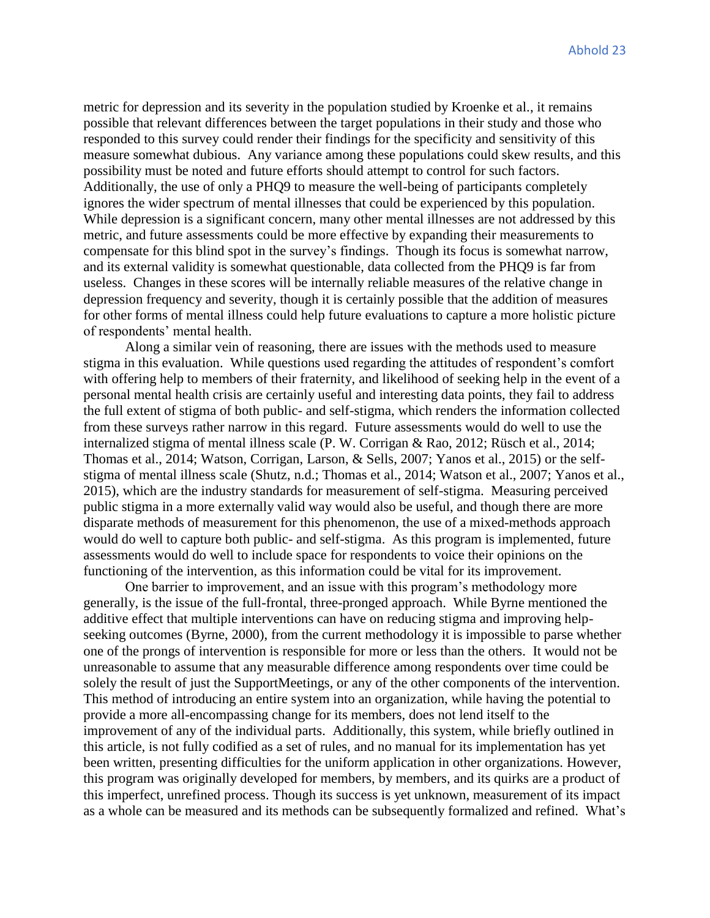metric for depression and its severity in the population studied by Kroenke et al., it remains possible that relevant differences between the target populations in their study and those who responded to this survey could render their findings for the specificity and sensitivity of this measure somewhat dubious. Any variance among these populations could skew results, and this possibility must be noted and future efforts should attempt to control for such factors. Additionally, the use of only a PHQ9 to measure the well-being of participants completely ignores the wider spectrum of mental illnesses that could be experienced by this population. While depression is a significant concern, many other mental illnesses are not addressed by this metric, and future assessments could be more effective by expanding their measurements to compensate for this blind spot in the survey's findings. Though its focus is somewhat narrow, and its external validity is somewhat questionable, data collected from the PHQ9 is far from useless. Changes in these scores will be internally reliable measures of the relative change in depression frequency and severity, though it is certainly possible that the addition of measures for other forms of mental illness could help future evaluations to capture a more holistic picture of respondents' mental health.

Along a similar vein of reasoning, there are issues with the methods used to measure stigma in this evaluation. While questions used regarding the attitudes of respondent's comfort with offering help to members of their fraternity, and likelihood of seeking help in the event of a personal mental health crisis are certainly useful and interesting data points, they fail to address the full extent of stigma of both public- and self-stigma, which renders the information collected from these surveys rather narrow in this regard. Future assessments would do well to use the internalized stigma of mental illness scale (P. W. Corrigan & Rao, 2012; Rüsch et al., 2014; Thomas et al., 2014; Watson, Corrigan, Larson, & Sells, 2007; Yanos et al., 2015) or the selfstigma of mental illness scale (Shutz, n.d.; Thomas et al., 2014; Watson et al., 2007; Yanos et al., 2015), which are the industry standards for measurement of self-stigma. Measuring perceived public stigma in a more externally valid way would also be useful, and though there are more disparate methods of measurement for this phenomenon, the use of a mixed-methods approach would do well to capture both public- and self-stigma. As this program is implemented, future assessments would do well to include space for respondents to voice their opinions on the functioning of the intervention, as this information could be vital for its improvement.

One barrier to improvement, and an issue with this program's methodology more generally, is the issue of the full-frontal, three-pronged approach. While Byrne mentioned the additive effect that multiple interventions can have on reducing stigma and improving helpseeking outcomes (Byrne, 2000), from the current methodology it is impossible to parse whether one of the prongs of intervention is responsible for more or less than the others. It would not be unreasonable to assume that any measurable difference among respondents over time could be solely the result of just the SupportMeetings, or any of the other components of the intervention. This method of introducing an entire system into an organization, while having the potential to provide a more all-encompassing change for its members, does not lend itself to the improvement of any of the individual parts. Additionally, this system, while briefly outlined in this article, is not fully codified as a set of rules, and no manual for its implementation has yet been written, presenting difficulties for the uniform application in other organizations. However, this program was originally developed for members, by members, and its quirks are a product of this imperfect, unrefined process. Though its success is yet unknown, measurement of its impact as a whole can be measured and its methods can be subsequently formalized and refined. What's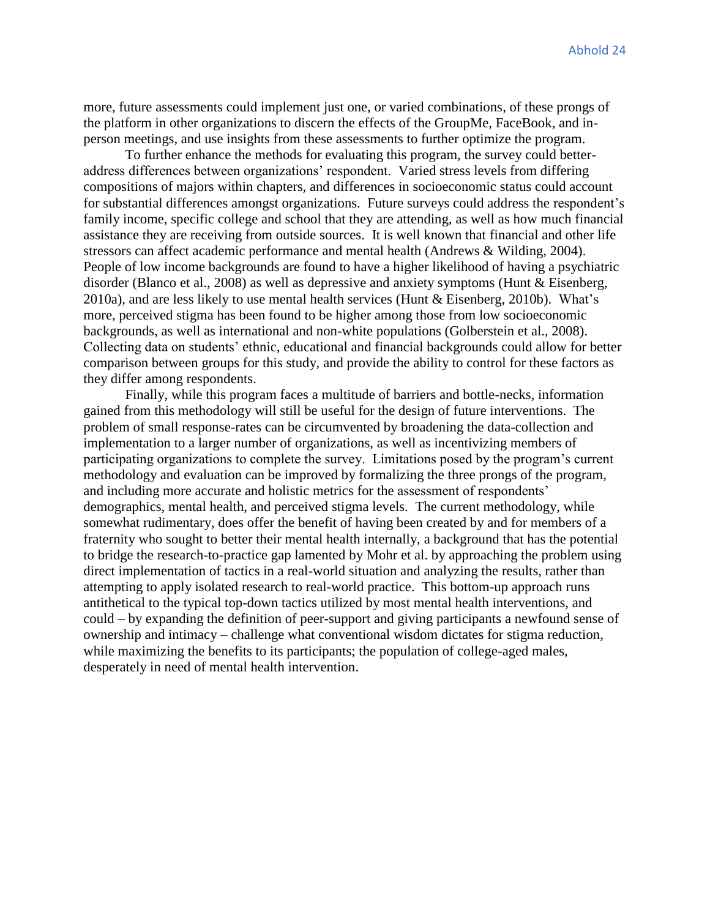more, future assessments could implement just one, or varied combinations, of these prongs of the platform in other organizations to discern the effects of the GroupMe, FaceBook, and inperson meetings, and use insights from these assessments to further optimize the program.

To further enhance the methods for evaluating this program, the survey could betteraddress differences between organizations' respondent. Varied stress levels from differing compositions of majors within chapters, and differences in socioeconomic status could account for substantial differences amongst organizations. Future surveys could address the respondent's family income, specific college and school that they are attending, as well as how much financial assistance they are receiving from outside sources. It is well known that financial and other life stressors can affect academic performance and mental health (Andrews & Wilding, 2004). People of low income backgrounds are found to have a higher likelihood of having a psychiatric disorder (Blanco et al., 2008) as well as depressive and anxiety symptoms (Hunt & Eisenberg, 2010a), and are less likely to use mental health services (Hunt & Eisenberg, 2010b). What's more, perceived stigma has been found to be higher among those from low socioeconomic backgrounds, as well as international and non-white populations (Golberstein et al., 2008). Collecting data on students' ethnic, educational and financial backgrounds could allow for better comparison between groups for this study, and provide the ability to control for these factors as they differ among respondents.

Finally, while this program faces a multitude of barriers and bottle-necks, information gained from this methodology will still be useful for the design of future interventions. The problem of small response-rates can be circumvented by broadening the data-collection and implementation to a larger number of organizations, as well as incentivizing members of participating organizations to complete the survey. Limitations posed by the program's current methodology and evaluation can be improved by formalizing the three prongs of the program, and including more accurate and holistic metrics for the assessment of respondents' demographics, mental health, and perceived stigma levels. The current methodology, while somewhat rudimentary, does offer the benefit of having been created by and for members of a fraternity who sought to better their mental health internally, a background that has the potential to bridge the research-to-practice gap lamented by Mohr et al. by approaching the problem using direct implementation of tactics in a real-world situation and analyzing the results, rather than attempting to apply isolated research to real-world practice. This bottom-up approach runs antithetical to the typical top-down tactics utilized by most mental health interventions, and could – by expanding the definition of peer-support and giving participants a newfound sense of ownership and intimacy – challenge what conventional wisdom dictates for stigma reduction, while maximizing the benefits to its participants; the population of college-aged males, desperately in need of mental health intervention.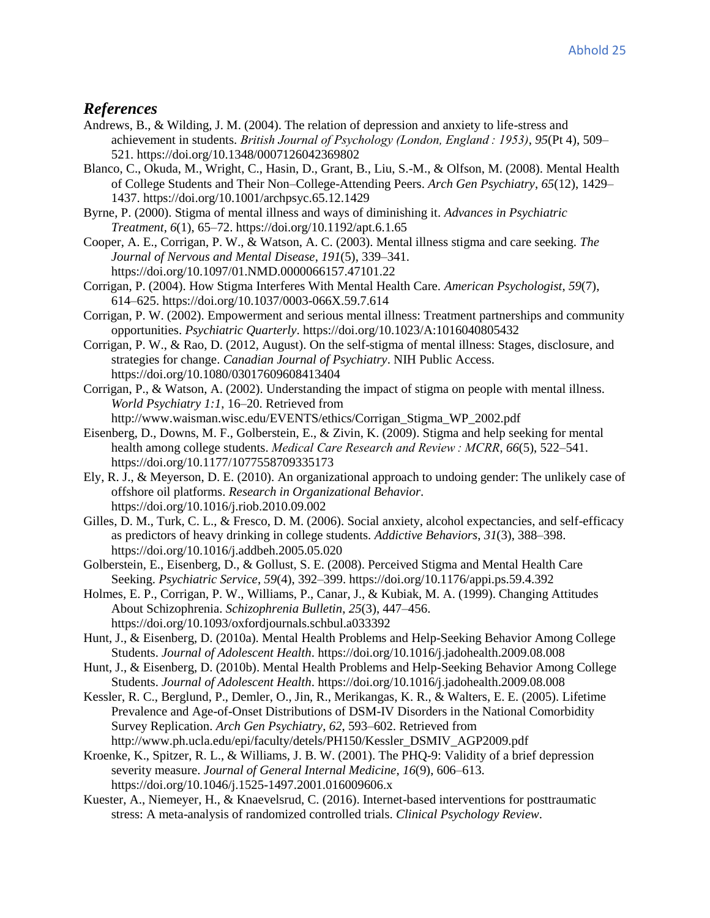### *References*

- Andrews, B., & Wilding, J. M. (2004). The relation of depression and anxiety to life-stress and achievement in students. *British Journal of Psychology (London, England : 1953)*, *95*(Pt 4), 509– 521. https://doi.org/10.1348/0007126042369802
- Blanco, C., Okuda, M., Wright, C., Hasin, D., Grant, B., Liu, S.-M., & Olfson, M. (2008). Mental Health of College Students and Their Non–College-Attending Peers. *Arch Gen Psychiatry*, *65*(12), 1429– 1437. https://doi.org/10.1001/archpsyc.65.12.1429
- Byrne, P. (2000). Stigma of mental illness and ways of diminishing it. *Advances in Psychiatric Treatment*, *6*(1), 65–72. https://doi.org/10.1192/apt.6.1.65
- Cooper, A. E., Corrigan, P. W., & Watson, A. C. (2003). Mental illness stigma and care seeking. *The Journal of Nervous and Mental Disease*, *191*(5), 339–341. https://doi.org/10.1097/01.NMD.0000066157.47101.22
- Corrigan, P. (2004). How Stigma Interferes With Mental Health Care. *American Psychologist*, *59*(7), 614–625. https://doi.org/10.1037/0003-066X.59.7.614
- Corrigan, P. W. (2002). Empowerment and serious mental illness: Treatment partnerships and community opportunities. *Psychiatric Quarterly*. https://doi.org/10.1023/A:1016040805432
- Corrigan, P. W., & Rao, D. (2012, August). On the self-stigma of mental illness: Stages, disclosure, and strategies for change. *Canadian Journal of Psychiatry*. NIH Public Access. https://doi.org/10.1080/03017609608413404
- Corrigan, P., & Watson, A. (2002). Understanding the impact of stigma on people with mental illness. *World Psychiatry 1:1*, 16–20. Retrieved from http://www.waisman.wisc.edu/EVENTS/ethics/Corrigan\_Stigma\_WP\_2002.pdf
- Eisenberg, D., Downs, M. F., Golberstein, E., & Zivin, K. (2009). Stigma and help seeking for mental health among college students. *Medical Care Research and Review : MCRR*, *66*(5), 522–541. https://doi.org/10.1177/1077558709335173
- Ely, R. J., & Meyerson, D. E. (2010). An organizational approach to undoing gender: The unlikely case of offshore oil platforms. *Research in Organizational Behavior*. https://doi.org/10.1016/j.riob.2010.09.002
- Gilles, D. M., Turk, C. L., & Fresco, D. M. (2006). Social anxiety, alcohol expectancies, and self-efficacy as predictors of heavy drinking in college students. *Addictive Behaviors*, *31*(3), 388–398. https://doi.org/10.1016/j.addbeh.2005.05.020
- Golberstein, E., Eisenberg, D., & Gollust, S. E. (2008). Perceived Stigma and Mental Health Care Seeking. *Psychiatric Service*, *59*(4), 392–399. https://doi.org/10.1176/appi.ps.59.4.392
- Holmes, E. P., Corrigan, P. W., Williams, P., Canar, J., & Kubiak, M. A. (1999). Changing Attitudes About Schizophrenia. *Schizophrenia Bulletin*, *25*(3), 447–456. https://doi.org/10.1093/oxfordjournals.schbul.a033392
- Hunt, J., & Eisenberg, D. (2010a). Mental Health Problems and Help-Seeking Behavior Among College Students. *Journal of Adolescent Health*. https://doi.org/10.1016/j.jadohealth.2009.08.008
- Hunt, J., & Eisenberg, D. (2010b). Mental Health Problems and Help-Seeking Behavior Among College Students. *Journal of Adolescent Health*. https://doi.org/10.1016/j.jadohealth.2009.08.008
- Kessler, R. C., Berglund, P., Demler, O., Jin, R., Merikangas, K. R., & Walters, E. E. (2005). Lifetime Prevalence and Age-of-Onset Distributions of DSM-IV Disorders in the National Comorbidity Survey Replication. *Arch Gen Psychiatry*, *62*, 593–602. Retrieved from http://www.ph.ucla.edu/epi/faculty/detels/PH150/Kessler\_DSMIV\_AGP2009.pdf
- Kroenke, K., Spitzer, R. L., & Williams, J. B. W. (2001). The PHQ-9: Validity of a brief depression severity measure. *Journal of General Internal Medicine*, *16*(9), 606–613. https://doi.org/10.1046/j.1525-1497.2001.016009606.x
- Kuester, A., Niemeyer, H., & Knaevelsrud, C. (2016). Internet-based interventions for posttraumatic stress: A meta-analysis of randomized controlled trials. *Clinical Psychology Review*.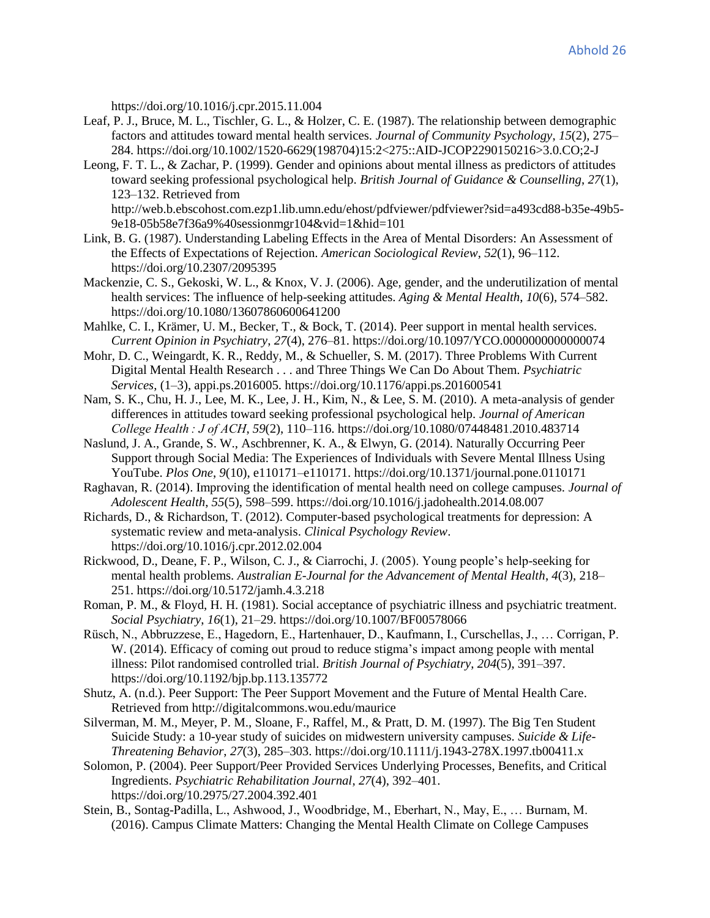https://doi.org/10.1016/j.cpr.2015.11.004

- Leaf, P. J., Bruce, M. L., Tischler, G. L., & Holzer, C. E. (1987). The relationship between demographic factors and attitudes toward mental health services. *Journal of Community Psychology*, *15*(2), 275– 284. https://doi.org/10.1002/1520-6629(198704)15:2<275::AID-JCOP2290150216>3.0.CO;2-J
- Leong, F. T. L., & Zachar, P. (1999). Gender and opinions about mental illness as predictors of attitudes toward seeking professional psychological help. *British Journal of Guidance & Counselling*, *27*(1), 123–132. Retrieved from http://web.b.ebscohost.com.ezp1.lib.umn.edu/ehost/pdfviewer/pdfviewer?sid=a493cd88-b35e-49b5-
- 9e18-05b58e7f36a9%40sessionmgr104&vid=1&hid=101 Link, B. G. (1987). Understanding Labeling Effects in the Area of Mental Disorders: An Assessment of
- the Effects of Expectations of Rejection. *American Sociological Review*, *52*(1), 96–112. https://doi.org/10.2307/2095395
- Mackenzie, C. S., Gekoski, W. L., & Knox, V. J. (2006). Age, gender, and the underutilization of mental health services: The influence of help-seeking attitudes. *Aging & Mental Health*, *10*(6), 574–582. https://doi.org/10.1080/13607860600641200
- Mahlke, C. I., Krämer, U. M., Becker, T., & Bock, T. (2014). Peer support in mental health services. *Current Opinion in Psychiatry*, *27*(4), 276–81. https://doi.org/10.1097/YCO.0000000000000074
- Mohr, D. C., Weingardt, K. R., Reddy, M., & Schueller, S. M. (2017). Three Problems With Current Digital Mental Health Research . . . and Three Things We Can Do About Them. *Psychiatric Services*, (1–3), appi.ps.2016005. https://doi.org/10.1176/appi.ps.201600541
- Nam, S. K., Chu, H. J., Lee, M. K., Lee, J. H., Kim, N., & Lee, S. M. (2010). A meta-analysis of gender differences in attitudes toward seeking professional psychological help. *Journal of American College Health : J of ACH*, *59*(2), 110–116. https://doi.org/10.1080/07448481.2010.483714
- Naslund, J. A., Grande, S. W., Aschbrenner, K. A., & Elwyn, G. (2014). Naturally Occurring Peer Support through Social Media: The Experiences of Individuals with Severe Mental Illness Using YouTube. *Plos One*, *9*(10), e110171–e110171. https://doi.org/10.1371/journal.pone.0110171
- Raghavan, R. (2014). Improving the identification of mental health need on college campuses. *Journal of Adolescent Health*, *55*(5), 598–599. https://doi.org/10.1016/j.jadohealth.2014.08.007
- Richards, D., & Richardson, T. (2012). Computer-based psychological treatments for depression: A systematic review and meta-analysis. *Clinical Psychology Review*. https://doi.org/10.1016/j.cpr.2012.02.004
- Rickwood, D., Deane, F. P., Wilson, C. J., & Ciarrochi, J. (2005). Young people's help-seeking for mental health problems. *Australian E-Journal for the Advancement of Mental Health*, *4*(3), 218– 251. https://doi.org/10.5172/jamh.4.3.218
- Roman, P. M., & Floyd, H. H. (1981). Social acceptance of psychiatric illness and psychiatric treatment. *Social Psychiatry*, *16*(1), 21–29. https://doi.org/10.1007/BF00578066
- Rüsch, N., Abbruzzese, E., Hagedorn, E., Hartenhauer, D., Kaufmann, I., Curschellas, J., … Corrigan, P. W. (2014). Efficacy of coming out proud to reduce stigma's impact among people with mental illness: Pilot randomised controlled trial. *British Journal of Psychiatry*, *204*(5), 391–397. https://doi.org/10.1192/bjp.bp.113.135772
- Shutz, A. (n.d.). Peer Support: The Peer Support Movement and the Future of Mental Health Care. Retrieved from http://digitalcommons.wou.edu/maurice
- Silverman, M. M., Meyer, P. M., Sloane, F., Raffel, M., & Pratt, D. M. (1997). The Big Ten Student Suicide Study: a 10-year study of suicides on midwestern university campuses. *Suicide & Life-Threatening Behavior*, *27*(3), 285–303. https://doi.org/10.1111/j.1943-278X.1997.tb00411.x
- Solomon, P. (2004). Peer Support/Peer Provided Services Underlying Processes, Benefits, and Critical Ingredients. *Psychiatric Rehabilitation Journal*, *27*(4), 392–401. https://doi.org/10.2975/27.2004.392.401
- Stein, B., Sontag-Padilla, L., Ashwood, J., Woodbridge, M., Eberhart, N., May, E., … Burnam, M. (2016). Campus Climate Matters: Changing the Mental Health Climate on College Campuses